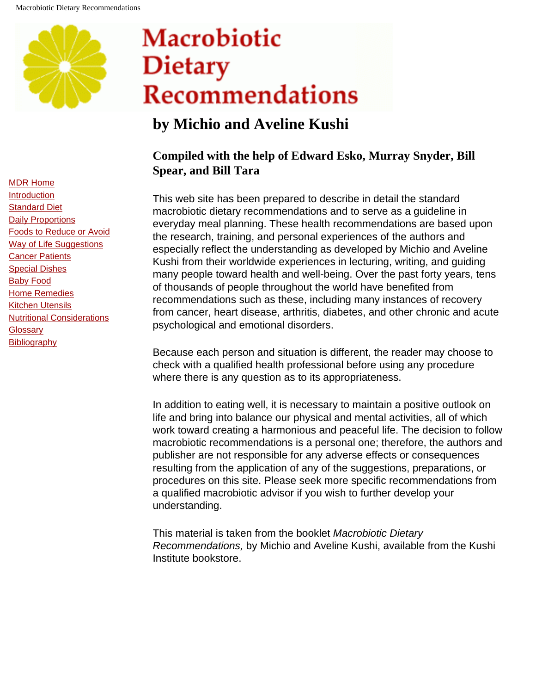<span id="page-0-0"></span>

[MDR Home](#page-0-0) [Introduction](#page-1-0) **[Standard Diet](#page-6-0)** [Daily Proportions](#page-14-0) [Foods to Reduce or Avoid](#page-16-0)  [Way of Life Suggestions](#page-19-0) [Cancer Patients](#page-22-0) [Special Dishes](#page-23-0) [Baby Food](#page-31-0) [Home Remedies](#page-33-0) [Kitchen Utensils](#page-42-0) [Nutritional Considerations](#page-46-0) **[Glossary](#page-49-0)** [Bibliography](#page-55-0)

# **Macrobiotic Dietary Recommendations**

**by Michio and Aveline Kushi**

#### **Compiled with the help of Edward Esko, Murray Snyder, Bill Spear, and Bill Tara**

This web site has been prepared to describe in detail the standard macrobiotic dietary recommendations and to serve as a guideline in everyday meal planning. These health recommendations are based upon the research, training, and personal experiences of the authors and especially reflect the understanding as developed by Michio and Aveline Kushi from their worldwide experiences in lecturing, writing, and guiding many people toward health and well-being. Over the past forty years, tens of thousands of people throughout the world have benefited from recommendations such as these, including many instances of recovery from cancer, heart disease, arthritis, diabetes, and other chronic and acute psychological and emotional disorders.

Because each person and situation is different, the reader may choose to check with a qualified health professional before using any procedure where there is any question as to its appropriateness.

In addition to eating well, it is necessary to maintain a positive outlook on life and bring into balance our physical and mental activities, all of which work toward creating a harmonious and peaceful life. The decision to follow macrobiotic recommendations is a personal one; therefore, the authors and publisher are not responsible for any adverse effects or consequences resulting from the application of any of the suggestions, preparations, or procedures on this site. Please seek more specific recommendations from a qualified macrobiotic advisor if you wish to further develop your understanding.

This material is taken from the booklet *Macrobiotic Dietary Recommendations,* by Michio and Aveline Kushi, available from the Kushi Institute bookstore.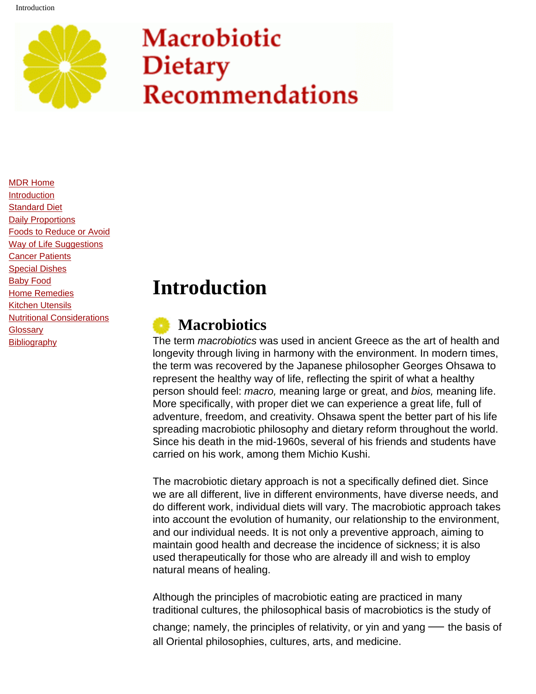<span id="page-1-0"></span>Introduction



# **Macrobiotic Dietary** Recommendations

#### [MDR Home](#page-0-0) **[Introduction](#page-1-0) [Standard Diet](#page-6-0)** [Daily Proportions](#page-14-0) [Foods to Reduce or Avoid](#page-16-0)  [Way of Life Suggestions](#page-19-0) [Cancer Patients](#page-22-0) [Special Dishes](#page-23-0) [Baby Food](#page-31-0) [Home Remedies](#page-33-0) [Kitchen Utensils](#page-42-0) [Nutritional Considerations](#page-46-0) **[Glossary](#page-49-0) [Bibliography](#page-55-0)**

## **Introduction**

### **Macrobiotics**

The term *macrobiotics* was used in ancient Greece as the art of health and longevity through living in harmony with the environment. In modern times, the term was recovered by the Japanese philosopher Georges Ohsawa to represent the healthy way of life, reflecting the spirit of what a healthy person should feel: *macro,* meaning large or great, and *bios,* meaning life. More specifically, with proper diet we can experience a great life, full of adventure, freedom, and creativity. Ohsawa spent the better part of his life spreading macrobiotic philosophy and dietary reform throughout the world. Since his death in the mid-1960s, several of his friends and students have carried on his work, among them Michio Kushi.

The macrobiotic dietary approach is not a specifically defined diet. Since we are all different, live in different environments, have diverse needs, and do different work, individual diets will vary. The macrobiotic approach takes into account the evolution of humanity, our relationship to the environment, and our individual needs. It is not only a preventive approach, aiming to maintain good health and decrease the incidence of sickness; it is also used therapeutically for those who are already ill and wish to employ natural means of healing.

Although the principles of macrobiotic eating are practiced in many traditional cultures, the philosophical basis of macrobiotics is the study of change; namely, the principles of relativity, or yin and yang — the basis of all Oriental philosophies, cultures, arts, and medicine.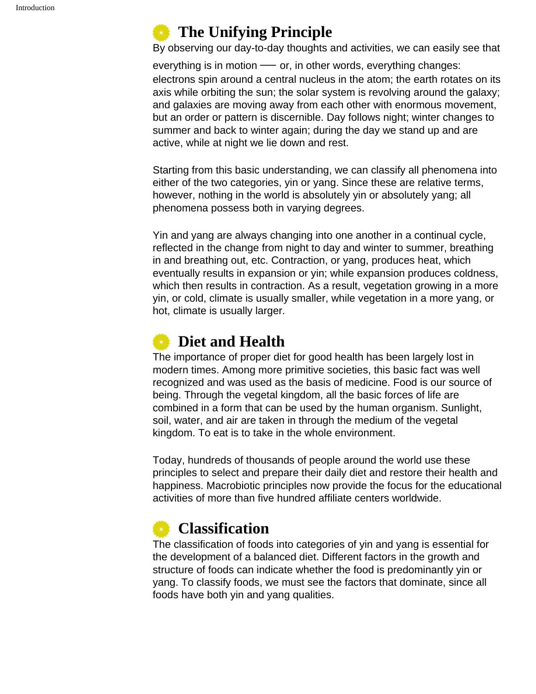### **The Unifying Principle**

By observing our day-to-day thoughts and activities, we can easily see that

everything is in motion — or, in other words, everything changes: electrons spin around a central nucleus in the atom; the earth rotates on its axis while orbiting the sun; the solar system is revolving around the galaxy; and galaxies are moving away from each other with enormous movement, but an order or pattern is discernible. Day follows night; winter changes to summer and back to winter again; during the day we stand up and are active, while at night we lie down and rest.

Starting from this basic understanding, we can classify all phenomena into either of the two categories, yin or yang. Since these are relative terms, however, nothing in the world is absolutely yin or absolutely yang; all phenomena possess both in varying degrees.

Yin and yang are always changing into one another in a continual cycle, reflected in the change from night to day and winter to summer, breathing in and breathing out, etc. Contraction, or yang, produces heat, which eventually results in expansion or yin; while expansion produces coldness, which then results in contraction. As a result, vegetation growing in a more yin, or cold, climate is usually smaller, while vegetation in a more yang, or hot, climate is usually larger.

### **Diet and Health**

The importance of proper diet for good health has been largely lost in modern times. Among more primitive societies, this basic fact was well recognized and was used as the basis of medicine. Food is our source of being. Through the vegetal kingdom, all the basic forces of life are combined in a form that can be used by the human organism. Sunlight, soil, water, and air are taken in through the medium of the vegetal kingdom. To eat is to take in the whole environment.

Today, hundreds of thousands of people around the world use these principles to select and prepare their daily diet and restore their health and happiness. Macrobiotic principles now provide the focus for the educational activities of more than five hundred affiliate centers worldwide.

### **Classification**

The classification of foods into categories of yin and yang is essential for the development of a balanced diet. Different factors in the growth and structure of foods can indicate whether the food is predominantly yin or yang. To classify foods, we must see the factors that dominate, since all foods have both yin and yang qualities.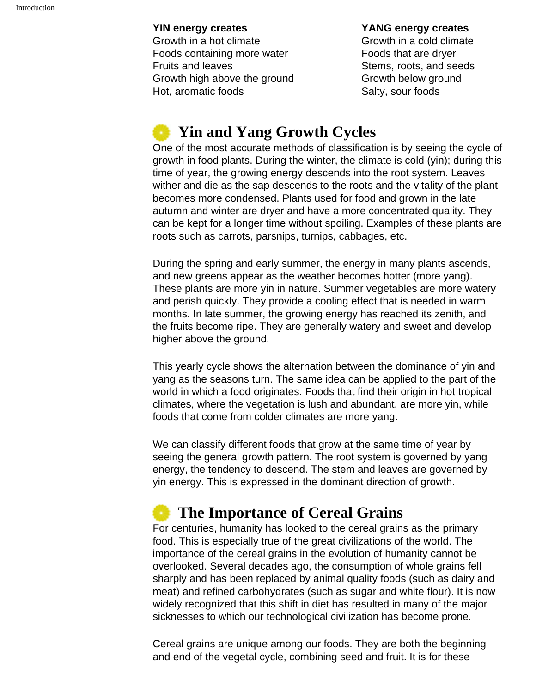#### **YIN energy creates**

Growth in a hot climate Foods containing more water Fruits and leaves Growth high above the ground Hot, aromatic foods

#### **YANG energy creates**

Growth in a cold climate Foods that are dryer Stems, roots, and seeds Growth below ground Salty, sour foods

### **Yin and Yang Growth Cycles**

One of the most accurate methods of classification is by seeing the cycle of growth in food plants. During the winter, the climate is cold (yin); during this time of year, the growing energy descends into the root system. Leaves wither and die as the sap descends to the roots and the vitality of the plant becomes more condensed. Plants used for food and grown in the late autumn and winter are dryer and have a more concentrated quality. They can be kept for a longer time without spoiling. Examples of these plants are roots such as carrots, parsnips, turnips, cabbages, etc.

During the spring and early summer, the energy in many plants ascends, and new greens appear as the weather becomes hotter (more yang). These plants are more yin in nature. Summer vegetables are more watery and perish quickly. They provide a cooling effect that is needed in warm months. In late summer, the growing energy has reached its zenith, and the fruits become ripe. They are generally watery and sweet and develop higher above the ground.

This yearly cycle shows the alternation between the dominance of yin and yang as the seasons turn. The same idea can be applied to the part of the world in which a food originates. Foods that find their origin in hot tropical climates, where the vegetation is lush and abundant, are more yin, while foods that come from colder climates are more yang.

We can classify different foods that grow at the same time of year by seeing the general growth pattern. The root system is governed by yang energy, the tendency to descend. The stem and leaves are governed by yin energy. This is expressed in the dominant direction of growth.

### **The Importance of Cereal Grains**

For centuries, humanity has looked to the cereal grains as the primary food. This is especially true of the great civilizations of the world. The importance of the cereal grains in the evolution of humanity cannot be overlooked. Several decades ago, the consumption of whole grains fell sharply and has been replaced by animal quality foods (such as dairy and meat) and refined carbohydrates (such as sugar and white flour). It is now widely recognized that this shift in diet has resulted in many of the major sicknesses to which our technological civilization has become prone.

Cereal grains are unique among our foods. They are both the beginning and end of the vegetal cycle, combining seed and fruit. It is for these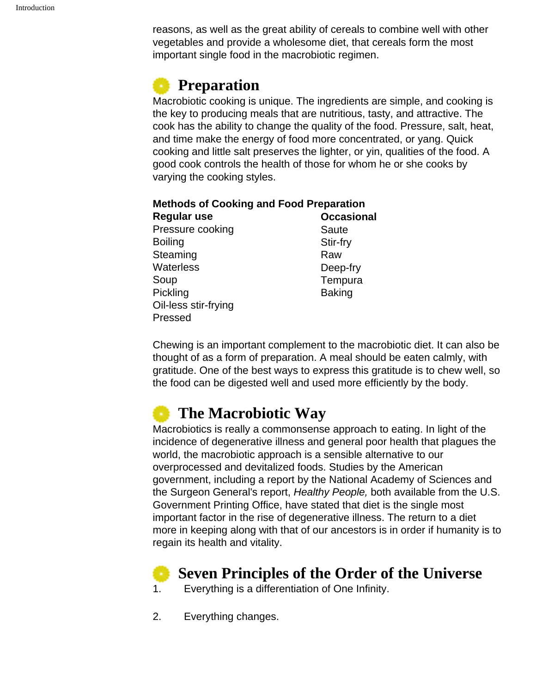reasons, as well as the great ability of cereals to combine well with other vegetables and provide a wholesome diet, that cereals form the most important single food in the macrobiotic regimen.

### **Preparation**

Macrobiotic cooking is unique. The ingredients are simple, and cooking is the key to producing meals that are nutritious, tasty, and attractive. The cook has the ability to change the quality of the food. Pressure, salt, heat, and time make the energy of food more concentrated, or yang. Quick cooking and little salt preserves the lighter, or yin, qualities of the food. A good cook controls the health of those for whom he or she cooks by varying the cooking styles.

#### **Methods of Cooking and Food Preparation**

| <b>Regular use</b>   | <b>Occasional</b> |
|----------------------|-------------------|
| Pressure cooking     | Saute             |
| <b>Boiling</b>       | Stir-fry          |
| Steaming             | Raw               |
| Waterless            | Deep-fry          |
| Soup                 | Tempura           |
| Pickling             | <b>Baking</b>     |
| Oil-less stir-frying |                   |
| Pressed              |                   |

Chewing is an important complement to the macrobiotic diet. It can also be thought of as a form of preparation. A meal should be eaten calmly, with gratitude. One of the best ways to express this gratitude is to chew well, so the food can be digested well and used more efficiently by the body.

### **The Macrobiotic Way**

Macrobiotics is really a commonsense approach to eating. In light of the incidence of degenerative illness and general poor health that plagues the world, the macrobiotic approach is a sensible alternative to our overprocessed and devitalized foods. Studies by the American government, including a report by the National Academy of Sciences and the Surgeon General's report, *Healthy People,* both available from the U.S. Government Printing Office, have stated that diet is the single most important factor in the rise of degenerative illness. The return to a diet more in keeping along with that of our ancestors is in order if humanity is to regain its health and vitality.



### **Seven Principles of the Order of the Universe**

1. Everything is a differentiation of One Infinity.

2. Everything changes.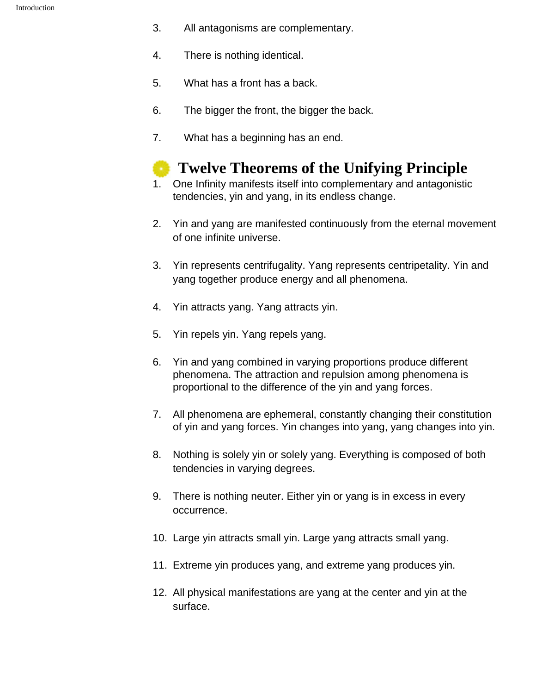- 3. All antagonisms are complementary.
- 4. There is nothing identical.
- 5. What has a front has a back.
- 6. The bigger the front, the bigger the back.
- 7. What has a beginning has an end.

### **Twelve Theorems of the Unifying Principle**

- 1. One Infinity manifests itself into complementary and antagonistic tendencies, yin and yang, in its endless change.
- 2. Yin and yang are manifested continuously from the eternal movement of one infinite universe.
- 3. Yin represents centrifugality. Yang represents centripetality. Yin and yang together produce energy and all phenomena.
- 4. Yin attracts yang. Yang attracts yin.
- 5. Yin repels yin. Yang repels yang.
- 6. Yin and yang combined in varying proportions produce different phenomena. The attraction and repulsion among phenomena is proportional to the difference of the yin and yang forces.
- 7. All phenomena are ephemeral, constantly changing their constitution of yin and yang forces. Yin changes into yang, yang changes into yin.
- 8. Nothing is solely yin or solely yang. Everything is composed of both tendencies in varying degrees.
- 9. There is nothing neuter. Either yin or yang is in excess in every occurrence.
- 10. Large yin attracts small yin. Large yang attracts small yang.
- 11. Extreme yin produces yang, and extreme yang produces yin.
- 12. All physical manifestations are yang at the center and yin at the surface.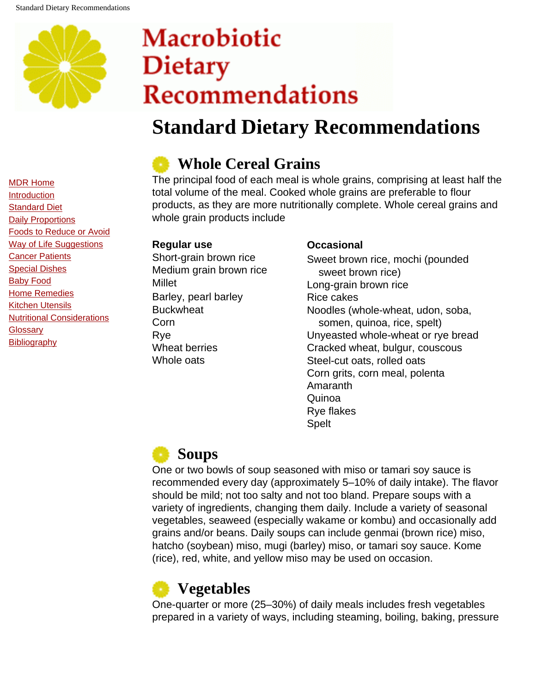<span id="page-6-0"></span>

# **Macrobiotic Dietary Recommendations**

**Standard Dietary Recommendations**

### **Whole Cereal Grains**

The principal food of each meal is whole grains, comprising at least half the total volume of the meal. Cooked whole grains are preferable to flour products, as they are more nutritionally complete. Whole cereal grains and whole grain products include

#### **Regular use**

Short-grain brown rice Medium grain brown rice Millet Barley, pearl barley **Buckwheat** Corn Rye Wheat berries Whole oats

#### **Occasional**

Sweet brown rice, mochi (pounded sweet brown rice) Long-grain brown rice Rice cakes Noodles (whole-wheat, udon, soba, somen, quinoa, rice, spelt) Unyeasted whole-wheat or rye bread Cracked wheat, bulgur, couscous Steel-cut oats, rolled oats Corn grits, corn meal, polenta Amaranth Quinoa Rye flakes Spelt

### **Soups**

One or two bowls of soup seasoned with miso or tamari soy sauce is recommended every day (approximately 5–10% of daily intake). The flavor should be mild; not too salty and not too bland. Prepare soups with a variety of ingredients, changing them daily. Include a variety of seasonal vegetables, seaweed (especially wakame or kombu) and occasionally add grains and/or beans. Daily soups can include genmai (brown rice) miso, hatcho (soybean) miso, mugi (barley) miso, or tamari soy sauce. Kome (rice), red, white, and yellow miso may be used on occasion.



One-quarter or more (25–30%) of daily meals includes fresh vegetables prepared in a variety of ways, including steaming, boiling, baking, pressure

[MDR Home](#page-0-0) [Introduction](#page-1-0) **[Standard Diet](#page-6-0)** [Daily Proportions](#page-14-0) [Foods to Reduce or Avoid](#page-16-0)  [Way of Life Suggestions](#page-19-0) [Cancer Patients](#page-22-0) [Special Dishes](#page-23-0) [Baby Food](#page-31-0) [Home Remedies](#page-33-0) [Kitchen Utensils](#page-42-0) [Nutritional Considerations](#page-46-0) **[Glossary](#page-49-0)** [Bibliography](#page-55-0)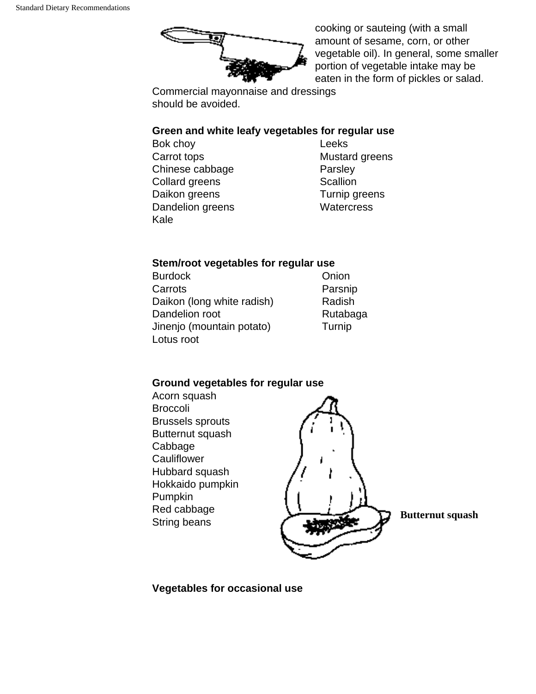

cooking or sauteing (with a small amount of sesame, corn, or other vegetable oil). In general, some smaller portion of vegetable intake may be eaten in the form of pickles or salad.

Commercial mayonnaise and dressings should be avoided.

#### **Green and white leafy vegetables for regular use**

Bok choy Carrot tops Chinese cabbage Collard greens Daikon greens Dandelion greens Kale

Leeks Mustard greens Parsley **Scallion** Turnip greens **Watercress** 

#### **Stem/root vegetables for regular use**

**Burdock Carrots** Daikon (long white radish) Dandelion root Jinenjo (mountain potato) Lotus root

**Onion** Parsnip Radish Rutabaga Turnip

#### **Ground vegetables for regular use**

Acorn squash Broccoli Brussels sprouts Butternut squash Cabbage **Cauliflower** Hubbard squash Hokkaido pumpkin Pumpkin Red cabbage



**Vegetables for occasional use**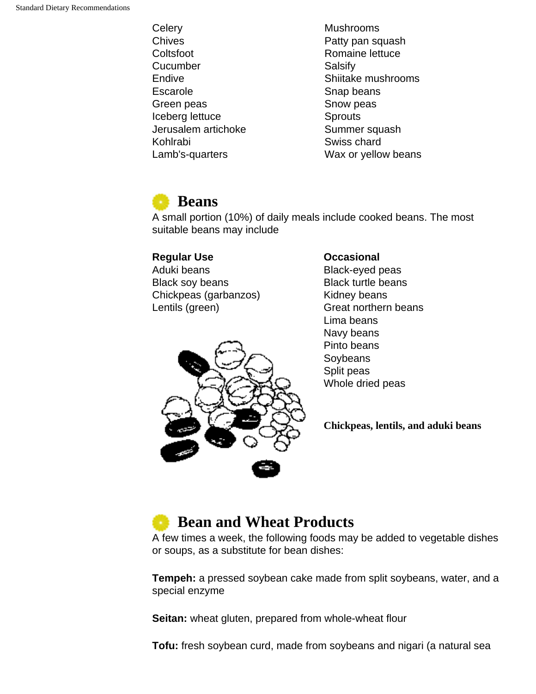**Celery Chives Coltsfoot** Cucumber **Endive** Escarole Green peas Iceberg lettuce Jerusalem artichoke Kohlrabi Lamb's-quarters

Mushrooms Patty pan squash Romaine lettuce Salsify Shiitake mushrooms Snap beans Snow peas **Sprouts** Summer squash Swiss chard Wax or yellow beans



A small portion (10%) of daily meals include cooked beans. The most suitable beans may include

#### **Regular Use**

Aduki beans Black soy beans Chickpeas (garbanzos) Lentils (green)



#### **Occasional**

Black-eyed peas Black turtle beans Kidney beans Great northern beans Lima beans Navy beans Pinto beans **Soybeans** Split peas Whole dried peas

**Chickpeas, lentils, and aduki beans**

### **Bean and Wheat Products**

A few times a week, the following foods may be added to vegetable dishes or soups, as a substitute for bean dishes:

**Tempeh:** a pressed soybean cake made from split soybeans, water, and a special enzyme

**Seitan:** wheat gluten, prepared from whole-wheat flour

**Tofu:** fresh soybean curd, made from soybeans and nigari (a natural sea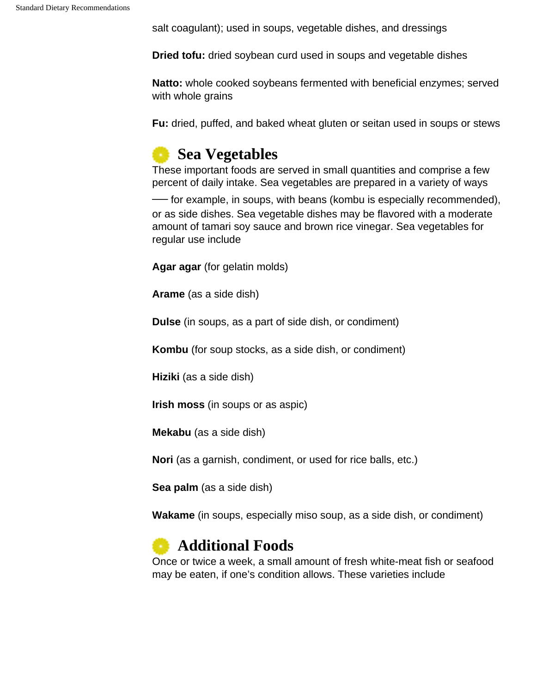salt coagulant); used in soups, vegetable dishes, and dressings

**Dried tofu:** dried soybean curd used in soups and vegetable dishes

**Natto:** whole cooked soybeans fermented with beneficial enzymes; served with whole grains

**Fu:** dried, puffed, and baked wheat gluten or seitan used in soups or stews

### **Sea Vegetables**

These important foods are served in small quantities and comprise a few percent of daily intake. Sea vegetables are prepared in a variety of ways

— for example, in soups, with beans (kombu is especially recommended), or as side dishes. Sea vegetable dishes may be flavored with a moderate amount of tamari soy sauce and brown rice vinegar. Sea vegetables for regular use include

**Agar agar** (for gelatin molds)

**Arame** (as a side dish)

**Dulse** (in soups, as a part of side dish, or condiment)

**Kombu** (for soup stocks, as a side dish, or condiment)

**Hiziki** (as a side dish)

**Irish moss** (in soups or as aspic)

**Mekabu** (as a side dish)

**Nori** (as a garnish, condiment, or used for rice balls, etc.)

**Sea palm** (as a side dish)

**Wakame** (in soups, especially miso soup, as a side dish, or condiment)

### **Additional Foods**

Once or twice a week, a small amount of fresh white-meat fish or seafood may be eaten, if one's condition allows. These varieties include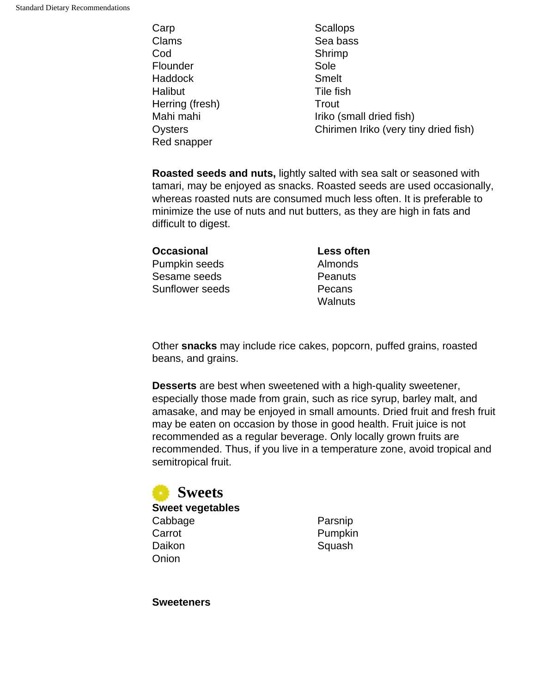Carp Clams Cod **Flounder Haddock Halibut** Herring (fresh) Mahi mahi **Oysters** Red snapper **Scallops** Sea bass Shrimp Sole Smelt Tile fish **Trout** Iriko (small dried fish) Chirimen Iriko (very tiny dried fish)

**Roasted seeds and nuts,** lightly salted with sea salt or seasoned with tamari, may be enjoyed as snacks. Roasted seeds are used occasionally, whereas roasted nuts are consumed much less often. It is preferable to minimize the use of nuts and nut butters, as they are high in fats and difficult to digest.

| Occasional      | Less often     |
|-----------------|----------------|
| Pumpkin seeds   | Almonds        |
| Sesame seeds    | Peanuts        |
| Sunflower seeds | Pecans         |
|                 | <b>Walnuts</b> |

Other **snacks** may include rice cakes, popcorn, puffed grains, roasted beans, and grains.

**Desserts** are best when sweetened with a high-quality sweetener, especially those made from grain, such as rice syrup, barley malt, and amasake, and may be enjoyed in small amounts. Dried fruit and fresh fruit may be eaten on occasion by those in good health. Fruit juice is not recommended as a regular beverage. Only locally grown fruits are recommended. Thus, if you live in a temperature zone, avoid tropical and semitropical fruit.



**Sweet vegetables** Cabbage **Carrot** Daikon **Onion** 

Parsnip Pumpkin **Squash** 

**Sweeteners**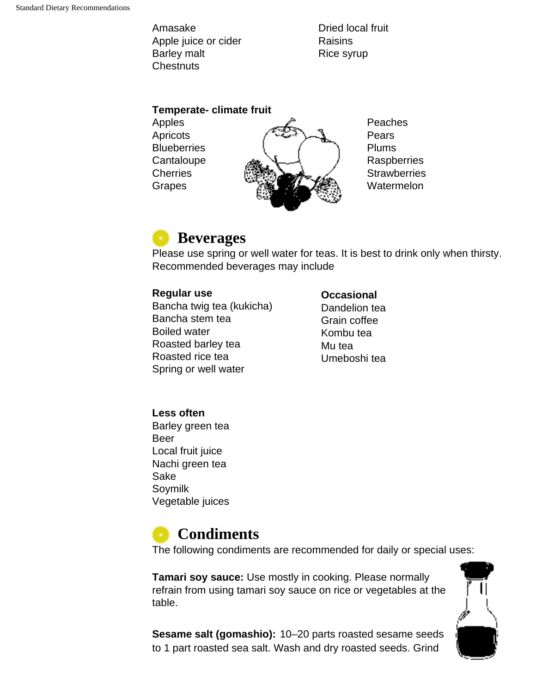Amasake Apple juice or cider Barley malt **Chestnuts** 

Dried local fruit Raisins Rice syrup

#### **Temperate- climate fruit**

Apples **Apricots Blueberries Cantaloupe Cherries** Grapes



Peaches **Pears** Plums **Raspberries Strawberries Watermelon** 



Please use spring or well water for teas. It is best to drink only when thirsty. Recommended beverages may include

#### **Regular use**

Bancha twig tea (kukicha) Bancha stem tea Boiled water Roasted barley tea Roasted rice tea Spring or well water

#### **Occasional**

Dandelion tea Grain coffee Kombu tea Mu tea Umeboshi tea

#### **Less often**

Barley green tea Beer Local fruit juice Nachi green tea Sake Soymilk Vegetable juices

### **Condiments**

The following condiments are recommended for daily or special uses:

**Tamari soy sauce:** Use mostly in cooking. Please normally refrain from using tamari soy sauce on rice or vegetables at the table.



**Sesame salt (gomashio):** 10–20 parts roasted sesame seeds to 1 part roasted sea salt. Wash and dry roasted seeds. Grind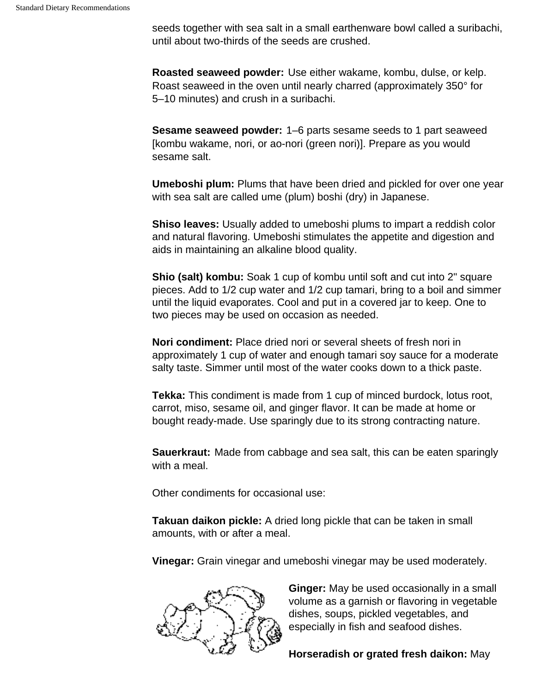seeds together with sea salt in a small earthenware bowl called a suribachi, until about two-thirds of the seeds are crushed.

**Roasted seaweed powder:** Use either wakame, kombu, dulse, or kelp. Roast seaweed in the oven until nearly charred (approximately 350° for 5–10 minutes) and crush in a suribachi.

**Sesame seaweed powder:** 1–6 parts sesame seeds to 1 part seaweed [kombu wakame, nori, or ao-nori (green nori)]. Prepare as you would sesame salt.

**Umeboshi plum:** Plums that have been dried and pickled for over one year with sea salt are called ume (plum) boshi (dry) in Japanese.

**Shiso leaves:** Usually added to umeboshi plums to impart a reddish color and natural flavoring. Umeboshi stimulates the appetite and digestion and aids in maintaining an alkaline blood quality.

**Shio (salt) kombu:** Soak 1 cup of kombu until soft and cut into 2" square pieces. Add to 1/2 cup water and 1/2 cup tamari, bring to a boil and simmer until the liquid evaporates. Cool and put in a covered jar to keep. One to two pieces may be used on occasion as needed.

**Nori condiment:** Place dried nori or several sheets of fresh nori in approximately 1 cup of water and enough tamari soy sauce for a moderate salty taste. Simmer until most of the water cooks down to a thick paste.

**Tekka:** This condiment is made from 1 cup of minced burdock, lotus root, carrot, miso, sesame oil, and ginger flavor. It can be made at home or bought ready-made. Use sparingly due to its strong contracting nature.

**Sauerkraut:** Made from cabbage and sea salt, this can be eaten sparingly with a meal

Other condiments for occasional use:

**Takuan daikon pickle:** A dried long pickle that can be taken in small amounts, with or after a meal.

**Vinegar:** Grain vinegar and umeboshi vinegar may be used moderately.



**Ginger:** May be used occasionally in a small volume as a garnish or flavoring in vegetable dishes, soups, pickled vegetables, and especially in fish and seafood dishes.

**Horseradish or grated fresh daikon:** May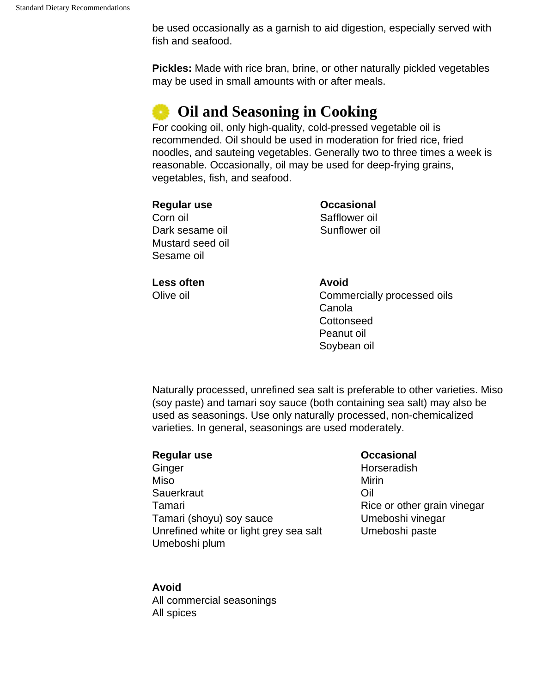be used occasionally as a garnish to aid digestion, especially served with fish and seafood.

**Pickles:** Made with rice bran, brine, or other naturally pickled vegetables may be used in small amounts with or after meals.

### **Combinator Cooking in Cooking**

For cooking oil, only high-quality, cold-pressed vegetable oil is recommended. Oil should be used in moderation for fried rice, fried noodles, and sauteing vegetables. Generally two to three times a week is reasonable. Occasionally, oil may be used for deep-frying grains, vegetables, fish, and seafood.

#### **Regular use**

Corn oil Dark sesame oil Mustard seed oil Sesame oil

**Occasional** Safflower oil Sunflower oil

**Less often** Olive oil

**Avoid**

Commercially processed oils Canola **Cottonseed** Peanut oil Soybean oil

Naturally processed, unrefined sea salt is preferable to other varieties. Miso (soy paste) and tamari soy sauce (both containing sea salt) may also be used as seasonings. Use only naturally processed, non-chemicalized varieties. In general, seasonings are used moderately.

#### **Regular use**

**Ginger** Miso **Sauerkraut** Tamari Tamari (shoyu) soy sauce Unrefined white or light grey sea salt Umeboshi plum

#### **Occasional**

**Horseradish** Mirin Oil Rice or other grain vinegar Umeboshi vinegar Umeboshi paste

#### **Avoid**

All commercial seasonings All spices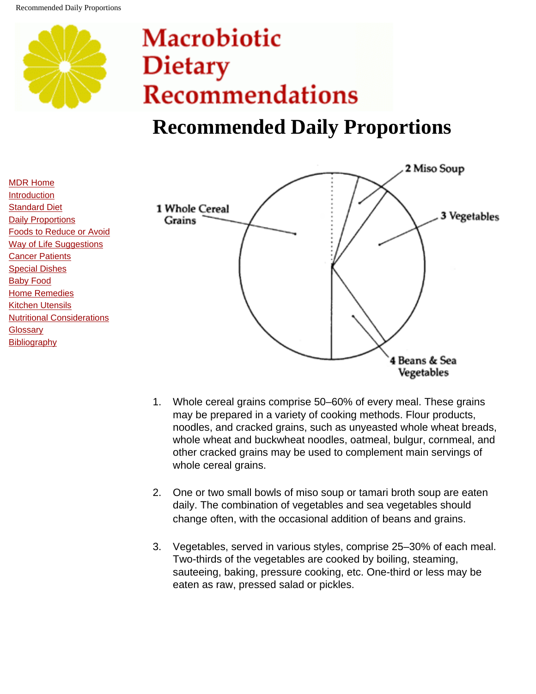<span id="page-14-0"></span>

# **Macrobiotic Dietary Recommendations Recommended Daily Proportions**



- 1. Whole cereal grains comprise 50–60% of every meal. These grains may be prepared in a variety of cooking methods. Flour products, noodles, and cracked grains, such as unyeasted whole wheat breads, whole wheat and buckwheat noodles, oatmeal, bulgur, cornmeal, and other cracked grains may be used to complement main servings of whole cereal grains.
- 2. One or two small bowls of miso soup or tamari broth soup are eaten daily. The combination of vegetables and sea vegetables should change often, with the occasional addition of beans and grains.
- 3. Vegetables, served in various styles, comprise 25–30% of each meal. Two-thirds of the vegetables are cooked by boiling, steaming, sauteeing, baking, pressure cooking, etc. One-third or less may be eaten as raw, pressed salad or pickles.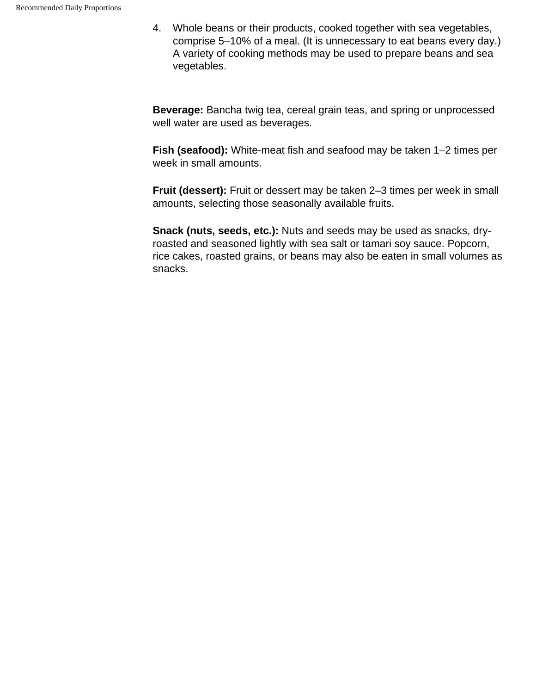4. Whole beans or their products, cooked together with sea vegetables, comprise 5–10% of a meal. (It is unnecessary to eat beans every day.) A variety of cooking methods may be used to prepare beans and sea vegetables.

**Beverage:** Bancha twig tea, cereal grain teas, and spring or unprocessed well water are used as beverages.

**Fish (seafood):** White-meat fish and seafood may be taken 1–2 times per week in small amounts.

**Fruit (dessert):** Fruit or dessert may be taken 2–3 times per week in small amounts, selecting those seasonally available fruits.

**Snack (nuts, seeds, etc.):** Nuts and seeds may be used as snacks, dryroasted and seasoned lightly with sea salt or tamari soy sauce. Popcorn, rice cakes, roasted grains, or beans may also be eaten in small volumes as snacks.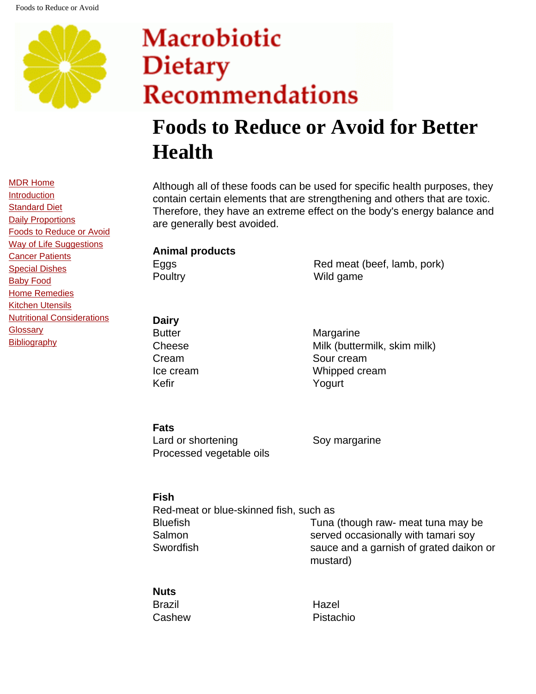<span id="page-16-0"></span>

#### [MDR Home](#page-0-0) [Introduction](#page-1-0) **[Standard Diet](#page-6-0)** [Daily Proportions](#page-14-0) [Foods to Reduce or Avoid](#page-16-0)  [Way of Life Suggestions](#page-19-0) [Cancer Patients](#page-22-0) [Special Dishes](#page-23-0) [Baby Food](#page-31-0) [Home Remedies](#page-33-0) [Kitchen Utensils](#page-42-0) [Nutritional Considerations](#page-46-0) **[Glossary](#page-49-0)** [Bibliography](#page-55-0)

# **Macrobiotic Dietary Recommendations**

## **Foods to Reduce or Avoid for Better Health**

Although all of these foods can be used for specific health purposes, they contain certain elements that are strengthening and others that are toxic. Therefore, they have an extreme effect on the body's energy balance and are generally best avoided.

#### **Animal products**

Eggs **Poultry** 

Red meat (beef, lamb, pork) Wild game

#### **Dairy**

**Butter Cheese** Cream Ice cream Kefir

**Margarine** Milk (buttermilk, skim milk) Sour cream Whipped cream Yogurt

#### **Fats**

Lard or shortening Processed vegetable oils

Soy margarine

#### **Fish**

Red-meat or blue-skinned fish, such as **Bluefish** Salmon **Swordfish** Tuna (though raw- meat tuna may be served occasionally with tamari soy sauce and a garnish of grated daikon or mustard)

#### **Nuts**

Brazil **Cashew** 

Hazel Pistachio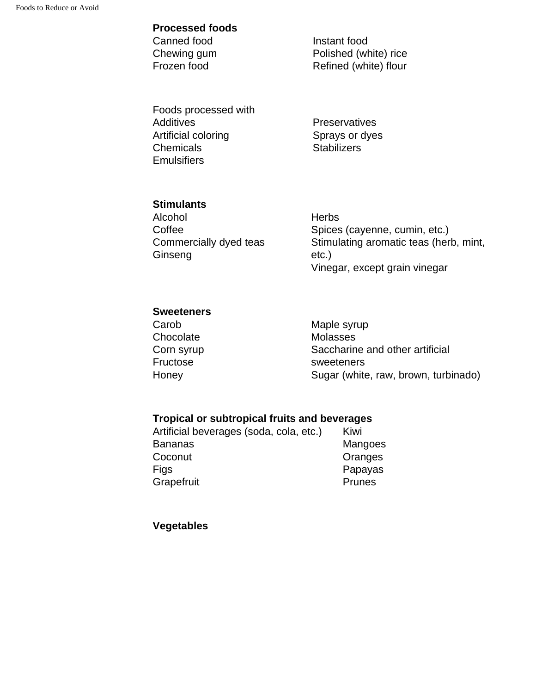#### **Processed foods**

Canned food Chewing gum Frozen food

Instant food Polished (white) rice Refined (white) flour

Foods processed with **Additives** Artificial coloring **Chemicals Emulsifiers** 

Preservatives Sprays or dyes **Stabilizers** 

#### **Stimulants**

Alcohol **Coffee** Commercially dyed teas **Ginseng** 

**Herbs** Spices (cayenne, cumin, etc.) Stimulating aromatic teas (herb, mint, etc.) Vinegar, except grain vinegar

#### **Sweeteners**

**Carob Chocolate** Corn syrup Fructose Honey

Maple syrup Molasses Saccharine and other artificial sweeteners Sugar (white, raw, brown, turbinado)

#### **Tropical or subtropical fruits and beverages**

Artificial beverages (soda, cola, etc.) Bananas **Coconut** Figs **Grapefruit** Kiwi Mangoes **Oranges** Papayas Prunes

**Vegetables**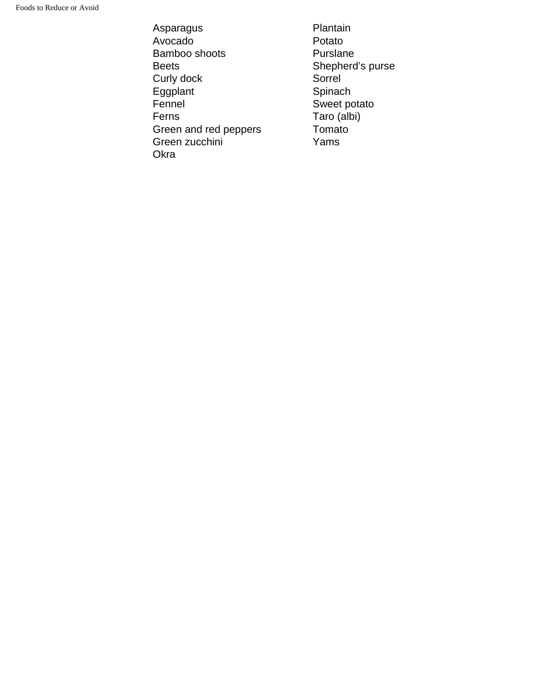Asparagus Avocado Bamboo shoots Beets Curly dock **Eggplant** Fennel Ferns Green and red peppers Green zucchini Okra

Plantain Potato Purslane Shepherd's purse Sorrel **Spinach** Sweet potato Taro (albi) Tomato Yams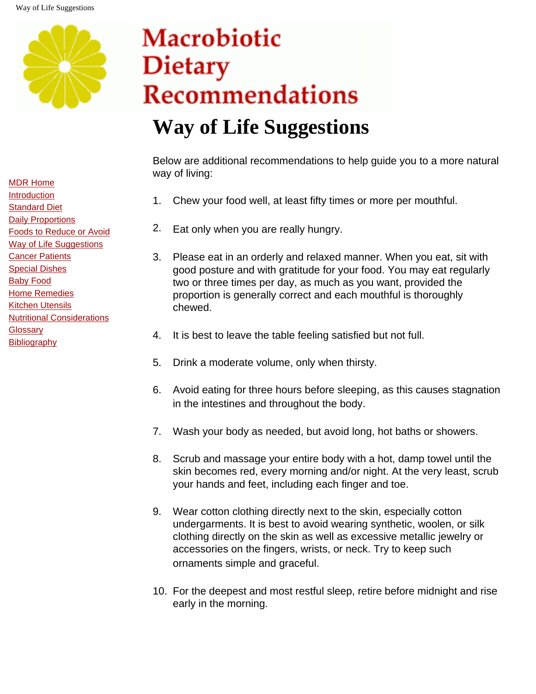<span id="page-19-0"></span>

# **Macrobiotic Dietary Recommendations Way of Life Suggestions**

Below are additional recommendations to help guide you to a more natural way of living:

- 1. Chew your food well, at least fifty times or more per mouthful.
- 2. Eat only when you are really hungry.
- 3. Please eat in an orderly and relaxed manner. When you eat, sit with good posture and with gratitude for your food. You may eat regularly two or three times per day, as much as you want, provided the proportion is generally correct and each mouthful is thoroughly chewed.
- 4. It is best to leave the table feeling satisfied but not full.
- 5. Drink a moderate volume, only when thirsty.
- 6. Avoid eating for three hours before sleeping, as this causes stagnation in the intestines and throughout the body.
- 7. Wash your body as needed, but avoid long, hot baths or showers.
- 8. Scrub and massage your entire body with a hot, damp towel until the skin becomes red, every morning and/or night. At the very least, scrub your hands and feet, including each finger and toe.
- 9. Wear cotton clothing directly next to the skin, especially cotton undergarments. It is best to avoid wearing synthetic, woolen, or silk clothing directly on the skin as well as excessive metallic jewelry or accessories on the fingers, wrists, or neck. Try to keep such ornaments simple and graceful.
- 10. For the deepest and most restful sleep, retire before midnight and rise early in the morning.

[MDR Home](#page-0-0) [Introduction](#page-1-0) **[Standard Diet](#page-6-0)** [Daily Proportions](#page-14-0) [Foods to Reduce or Avoid](#page-16-0)  [Way of Life Suggestions](#page-19-0) [Cancer Patients](#page-22-0) [Special Dishes](#page-23-0) [Baby Food](#page-31-0) [Home Remedies](#page-33-0) [Kitchen Utensils](#page-42-0) [Nutritional Considerations](#page-46-0) **[Glossary](#page-49-0)** [Bibliography](#page-55-0)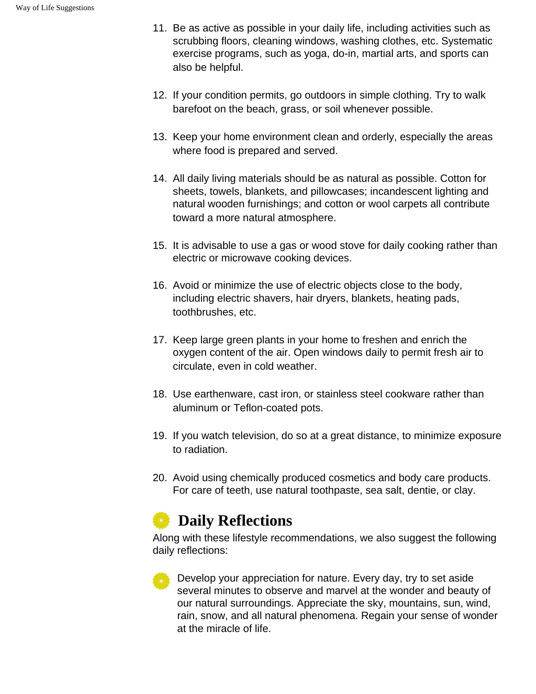- 11. Be as active as possible in your daily life, including activities such as scrubbing floors, cleaning windows, washing clothes, etc. Systematic exercise programs, such as yoga, do-in, martial arts, and sports can also be helpful.
- 12. If your condition permits, go outdoors in simple clothing. Try to walk barefoot on the beach, grass, or soil whenever possible.
- 13. Keep your home environment clean and orderly, especially the areas where food is prepared and served.
- 14. All daily living materials should be as natural as possible. Cotton for sheets, towels, blankets, and pillowcases; incandescent lighting and natural wooden furnishings; and cotton or wool carpets all contribute toward a more natural atmosphere.
- 15. It is advisable to use a gas or wood stove for daily cooking rather than electric or microwave cooking devices.
- 16. Avoid or minimize the use of electric objects close to the body, including electric shavers, hair dryers, blankets, heating pads, toothbrushes, etc.
- 17. Keep large green plants in your home to freshen and enrich the oxygen content of the air. Open windows daily to permit fresh air to circulate, even in cold weather.
- 18. Use earthenware, cast iron, or stainless steel cookware rather than aluminum or Teflon-coated pots.
- 19. If you watch television, do so at a great distance, to minimize exposure to radiation.
- 20. Avoid using chemically produced cosmetics and body care products. For care of teeth, use natural toothpaste, sea salt, dentie, or clay.

### **Daily Reflections**

Along with these lifestyle recommendations, we also suggest the following daily reflections:

Develop your appreciation for nature. Every day, try to set aside several minutes to observe and marvel at the wonder and beauty of our natural surroundings. Appreciate the sky, mountains, sun, wind, rain, snow, and all natural phenomena. Regain your sense of wonder at the miracle of life.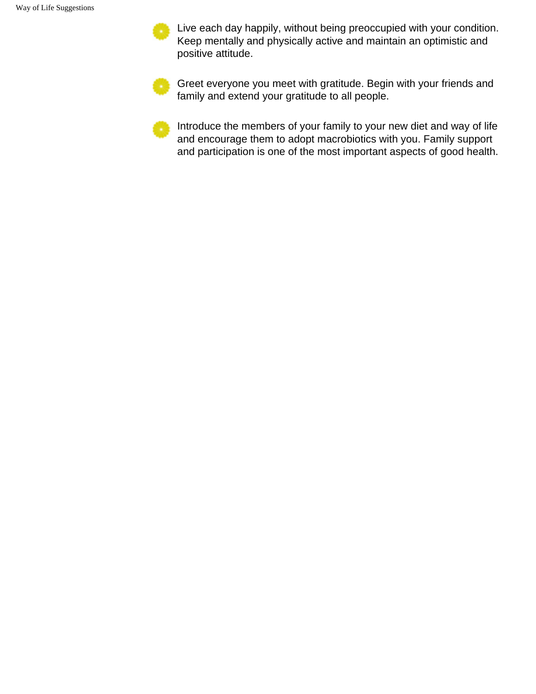Live each day happily, without being preoccupied with your condition. Keep mentally and physically active and maintain an optimistic and positive attitude.



Greet everyone you meet with gratitude. Begin with your friends and family and extend your gratitude to all people.

Introduce the members of your family to your new diet and way of life and encourage them to adopt macrobiotics with you. Family support and participation is one of the most important aspects of good health.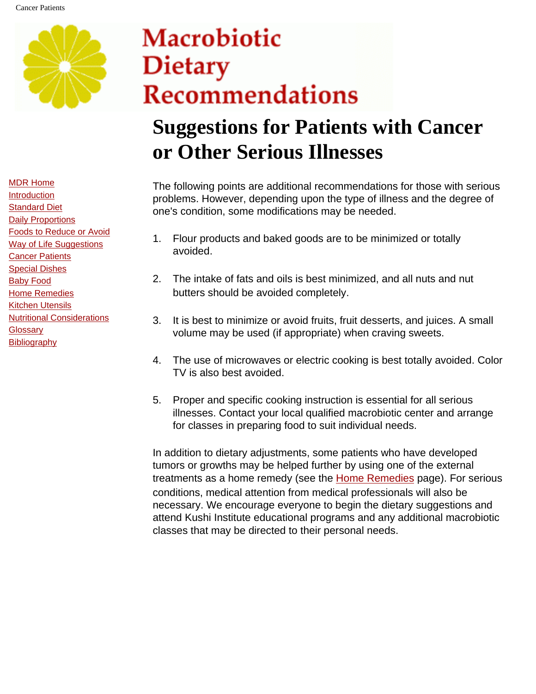<span id="page-22-0"></span>

# **Macrobiotic Dietary Recommendations**

## **Suggestions for Patients with Cancer or Other Serious Illnesses**

The following points are additional recommendations for those with serious problems. However, depending upon the type of illness and the degree of one's condition, some modifications may be needed.

- 1. Flour products and baked goods are to be minimized or totally avoided.
- 2. The intake of fats and oils is best minimized, and all nuts and nut butters should be avoided completely.
- 3. It is best to minimize or avoid fruits, fruit desserts, and juices. A small volume may be used (if appropriate) when craving sweets.
- 4. The use of microwaves or electric cooking is best totally avoided. Color TV is also best avoided.
- 5. Proper and specific cooking instruction is essential for all serious illnesses. Contact your local qualified macrobiotic center and arrange for classes in preparing food to suit individual needs.

In addition to dietary adjustments, some patients who have developed tumors or growths may be helped further by using one of the external treatments as a home remedy (see the [Home Remedies](#page-33-0) page). For serious conditions, medical attention from medical professionals will also be necessary. We encourage everyone to begin the dietary suggestions and attend Kushi Institute educational programs and any additional macrobiotic classes that may be directed to their personal needs.

[MDR Home](#page-0-0) **[Introduction](#page-1-0) [Standard Diet](#page-6-0)** [Daily Proportions](#page-14-0) [Foods to Reduce or Avoid](#page-16-0)  [Way of Life Suggestions](#page-19-0) [Cancer Patients](#page-22-0) [Special Dishes](#page-23-0) [Baby Food](#page-31-0) [Home Remedies](#page-33-0) [Kitchen Utensils](#page-42-0) [Nutritional Considerations](#page-46-0) **[Glossary](#page-49-0)** [Bibliography](#page-55-0)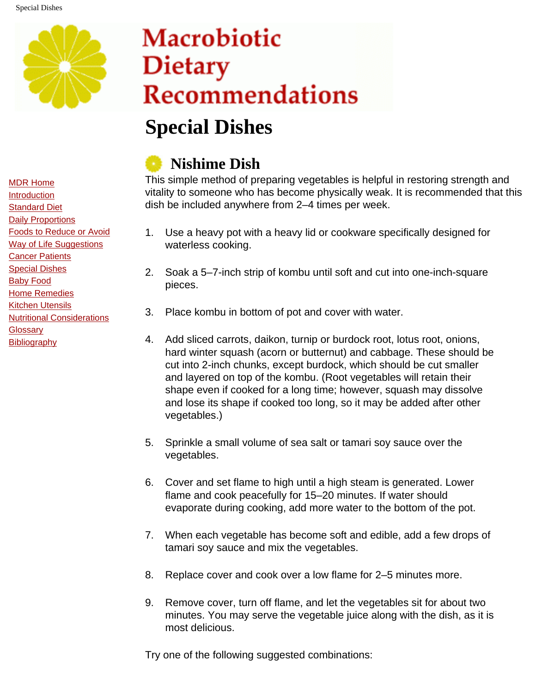<span id="page-23-0"></span>

# **Macrobiotic Dietary Recommendations Special Dishes**

### **Nishime Dish**

This simple method of preparing vegetables is helpful in restoring strength and vitality to someone who has become physically weak. It is recommended that this dish be included anywhere from 2–4 times per week.

- 1. Use a heavy pot with a heavy lid or cookware specifically designed for waterless cooking.
- 2. Soak a 5–7-inch strip of kombu until soft and cut into one-inch-square pieces.
- 3. Place kombu in bottom of pot and cover with water.
- 4. Add sliced carrots, daikon, turnip or burdock root, lotus root, onions, hard winter squash (acorn or butternut) and cabbage. These should be cut into 2-inch chunks, except burdock, which should be cut smaller and layered on top of the kombu. (Root vegetables will retain their shape even if cooked for a long time; however, squash may dissolve and lose its shape if cooked too long, so it may be added after other vegetables.)
- 5. Sprinkle a small volume of sea salt or tamari soy sauce over the vegetables.
- 6. Cover and set flame to high until a high steam is generated. Lower flame and cook peacefully for 15–20 minutes. If water should evaporate during cooking, add more water to the bottom of the pot.
- 7. When each vegetable has become soft and edible, add a few drops of tamari soy sauce and mix the vegetables.
- 8. Replace cover and cook over a low flame for 2–5 minutes more.
- 9. Remove cover, turn off flame, and let the vegetables sit for about two minutes. You may serve the vegetable juice along with the dish, as it is most delicious.

Try one of the following suggested combinations:

[MDR Home](#page-0-0) [Introduction](#page-1-0) **[Standard Diet](#page-6-0)** [Daily Proportions](#page-14-0) [Foods to Reduce or Avoid](#page-16-0)  [Way of Life Suggestions](#page-19-0) [Cancer Patients](#page-22-0) [Special Dishes](#page-23-0) [Baby Food](#page-31-0) [Home Remedies](#page-33-0) [Kitchen Utensils](#page-42-0) [Nutritional Considerations](#page-46-0) **[Glossary](#page-49-0)** [Bibliography](#page-55-0)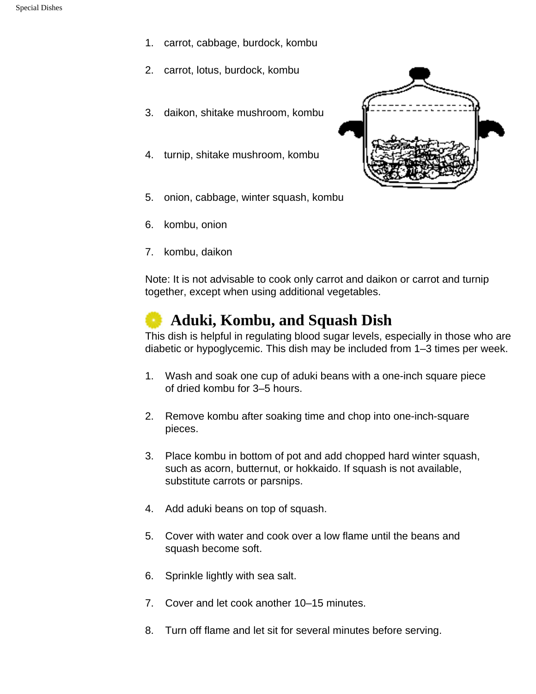- 1. carrot, cabbage, burdock, kombu
- 2. carrot, lotus, burdock, kombu
- 3. daikon, shitake mushroom, kombu
- 4. turnip, shitake mushroom, kombu



- 5. onion, cabbage, winter squash, kombu
- 6. kombu, onion
- 7. kombu, daikon

Note: It is not advisable to cook only carrot and daikon or carrot and turnip together, except when using additional vegetables.

### **Aduki, Kombu, and Squash Dish**

This dish is helpful in regulating blood sugar levels, especially in those who are diabetic or hypoglycemic. This dish may be included from 1–3 times per week.

- 1. Wash and soak one cup of aduki beans with a one-inch square piece of dried kombu for 3–5 hours.
- 2. Remove kombu after soaking time and chop into one-inch-square pieces.
- 3. Place kombu in bottom of pot and add chopped hard winter squash, such as acorn, butternut, or hokkaido. If squash is not available, substitute carrots or parsnips.
- 4. Add aduki beans on top of squash.
- 5. Cover with water and cook over a low flame until the beans and squash become soft.
- 6. Sprinkle lightly with sea salt.
- 7. Cover and let cook another 10–15 minutes.
- 8. Turn off flame and let sit for several minutes before serving.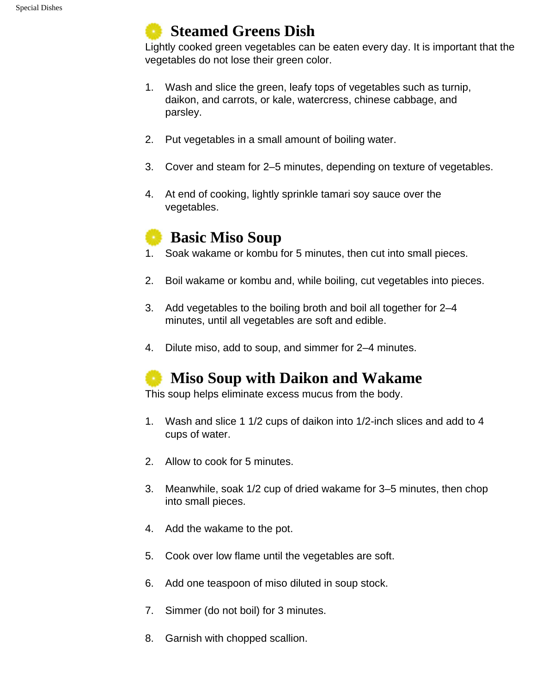### **Steamed Greens Dish**

Lightly cooked green vegetables can be eaten every day. It is important that the vegetables do not lose their green color.

- 1. Wash and slice the green, leafy tops of vegetables such as turnip, daikon, and carrots, or kale, watercress, chinese cabbage, and parsley.
- 2. Put vegetables in a small amount of boiling water.
- 3. Cover and steam for 2–5 minutes, depending on texture of vegetables.
- 4. At end of cooking, lightly sprinkle tamari soy sauce over the vegetables.



### **Basic Miso Soup**

- 1. Soak wakame or kombu for 5 minutes, then cut into small pieces.
- 2. Boil wakame or kombu and, while boiling, cut vegetables into pieces.
- 3. Add vegetables to the boiling broth and boil all together for 2–4 minutes, until all vegetables are soft and edible.
- 4. Dilute miso, add to soup, and simmer for 2–4 minutes.

 **Miso Soup with Daikon and Wakame** 

This soup helps eliminate excess mucus from the body.

- 1. Wash and slice 1 1/2 cups of daikon into 1/2-inch slices and add to 4 cups of water.
- 2. Allow to cook for 5 minutes.
- 3. Meanwhile, soak 1/2 cup of dried wakame for 3–5 minutes, then chop into small pieces.
- 4. Add the wakame to the pot.
- 5. Cook over low flame until the vegetables are soft.
- 6. Add one teaspoon of miso diluted in soup stock.
- 7. Simmer (do not boil) for 3 minutes.
- 8. Garnish with chopped scallion.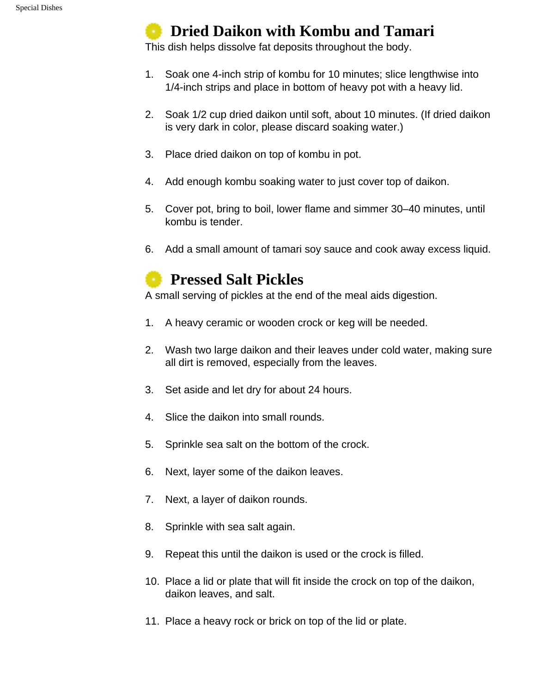### **Dried Daikon with Kombu and Tamari**

This dish helps dissolve fat deposits throughout the body.

- 1. Soak one 4-inch strip of kombu for 10 minutes; slice lengthwise into 1/4-inch strips and place in bottom of heavy pot with a heavy lid.
- 2. Soak 1/2 cup dried daikon until soft, about 10 minutes. (If dried daikon is very dark in color, please discard soaking water.)
- 3. Place dried daikon on top of kombu in pot.
- 4. Add enough kombu soaking water to just cover top of daikon.
- 5. Cover pot, bring to boil, lower flame and simmer 30–40 minutes, until kombu is tender.
- 6. Add a small amount of tamari soy sauce and cook away excess liquid.



### **Pressed Salt Pickles**

A small serving of pickles at the end of the meal aids digestion.

- 1. A heavy ceramic or wooden crock or keg will be needed.
- 2. Wash two large daikon and their leaves under cold water, making sure all dirt is removed, especially from the leaves.
- 3. Set aside and let dry for about 24 hours.
- 4. Slice the daikon into small rounds.
- 5. Sprinkle sea salt on the bottom of the crock.
- 6. Next, layer some of the daikon leaves.
- 7. Next, a layer of daikon rounds.
- 8. Sprinkle with sea salt again.
- 9. Repeat this until the daikon is used or the crock is filled.
- 10. Place a lid or plate that will fit inside the crock on top of the daikon, daikon leaves, and salt.
- 11. Place a heavy rock or brick on top of the lid or plate.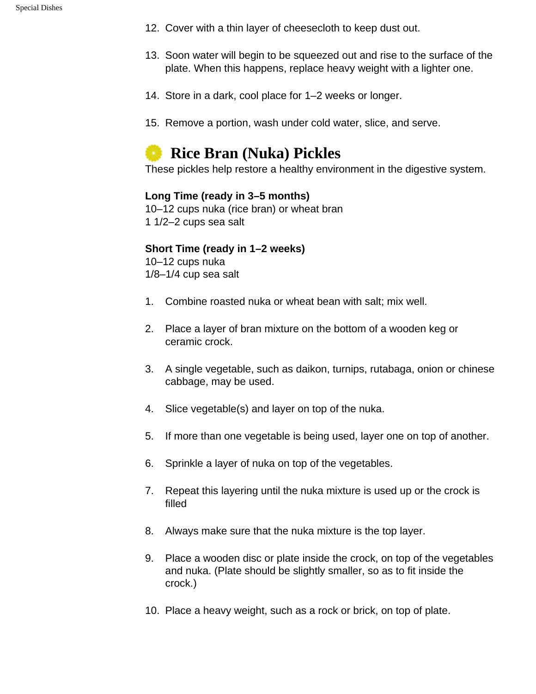- 12. Cover with a thin layer of cheesecloth to keep dust out.
- 13. Soon water will begin to be squeezed out and rise to the surface of the plate. When this happens, replace heavy weight with a lighter one.
- 14. Store in a dark, cool place for 1–2 weeks or longer.
- 15. Remove a portion, wash under cold water, slice, and serve.

### **Rice Bran (Nuka) Pickles**

These pickles help restore a healthy environment in the digestive system.

#### **Long Time (ready in 3–5 months)**

10–12 cups nuka (rice bran) or wheat bran 1 1/2–2 cups sea salt

#### **Short Time (ready in 1–2 weeks)**

10–12 cups nuka 1/8–1/4 cup sea salt

- 1. Combine roasted nuka or wheat bean with salt; mix well.
- 2. Place a layer of bran mixture on the bottom of a wooden keg or ceramic crock.
- 3. A single vegetable, such as daikon, turnips, rutabaga, onion or chinese cabbage, may be used.
- 4. Slice vegetable(s) and layer on top of the nuka.
- 5. If more than one vegetable is being used, layer one on top of another.
- 6. Sprinkle a layer of nuka on top of the vegetables.
- 7. Repeat this layering until the nuka mixture is used up or the crock is filled
- 8. Always make sure that the nuka mixture is the top layer.
- 9. Place a wooden disc or plate inside the crock, on top of the vegetables and nuka. (Plate should be slightly smaller, so as to fit inside the crock.)
- 10. Place a heavy weight, such as a rock or brick, on top of plate.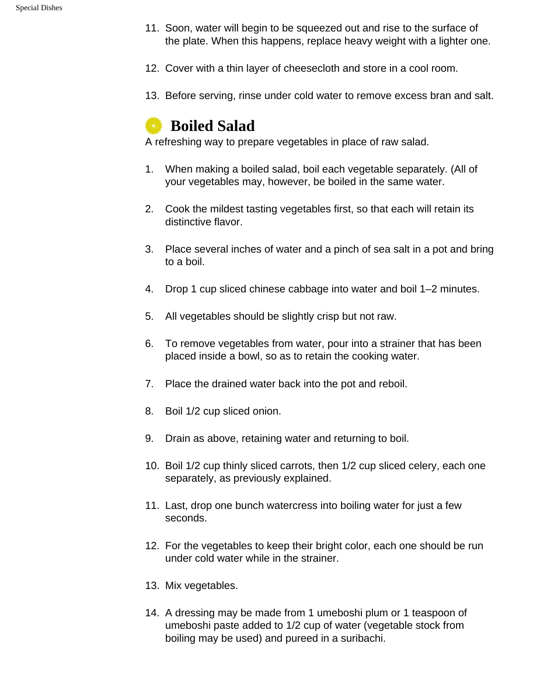- 11. Soon, water will begin to be squeezed out and rise to the surface of the plate. When this happens, replace heavy weight with a lighter one.
- 12. Cover with a thin layer of cheesecloth and store in a cool room.
- 13. Before serving, rinse under cold water to remove excess bran and salt.

### **Boiled Salad**

A refreshing way to prepare vegetables in place of raw salad.

- 1. When making a boiled salad, boil each vegetable separately. (All of your vegetables may, however, be boiled in the same water.
- 2. Cook the mildest tasting vegetables first, so that each will retain its distinctive flavor.
- 3. Place several inches of water and a pinch of sea salt in a pot and bring to a boil.
- 4. Drop 1 cup sliced chinese cabbage into water and boil 1–2 minutes.
- 5. All vegetables should be slightly crisp but not raw.
- 6. To remove vegetables from water, pour into a strainer that has been placed inside a bowl, so as to retain the cooking water.
- 7. Place the drained water back into the pot and reboil.
- 8. Boil 1/2 cup sliced onion.
- 9. Drain as above, retaining water and returning to boil.
- 10. Boil 1/2 cup thinly sliced carrots, then 1/2 cup sliced celery, each one separately, as previously explained.
- 11. Last, drop one bunch watercress into boiling water for just a few seconds.
- 12. For the vegetables to keep their bright color, each one should be run under cold water while in the strainer.
- 13. Mix vegetables.
- 14. A dressing may be made from 1 umeboshi plum or 1 teaspoon of umeboshi paste added to 1/2 cup of water (vegetable stock from boiling may be used) and pureed in a suribachi.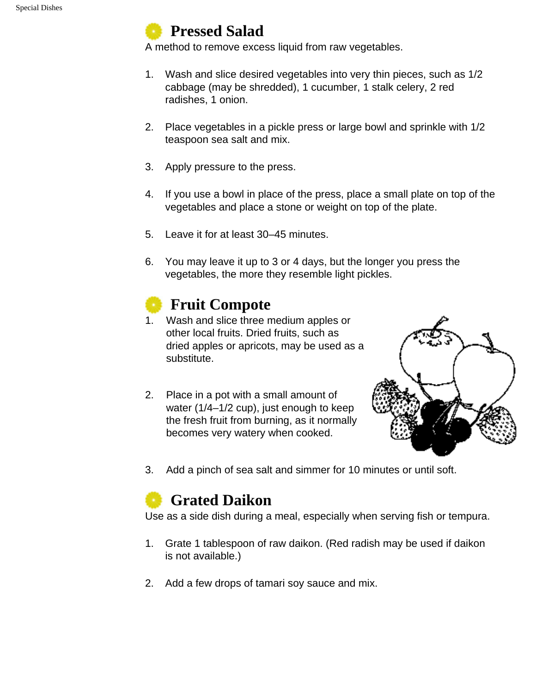### **Pressed Salad**

A method to remove excess liquid from raw vegetables.

- 1. Wash and slice desired vegetables into very thin pieces, such as 1/2 cabbage (may be shredded), 1 cucumber, 1 stalk celery, 2 red radishes, 1 onion.
- 2. Place vegetables in a pickle press or large bowl and sprinkle with 1/2 teaspoon sea salt and mix.
- 3. Apply pressure to the press.
- 4. If you use a bowl in place of the press, place a small plate on top of the vegetables and place a stone or weight on top of the plate.
- 5. Leave it for at least 30–45 minutes.
- 6. You may leave it up to 3 or 4 days, but the longer you press the vegetables, the more they resemble light pickles.

### **Fruit Compote**

- 1. Wash and slice three medium apples or other local fruits. Dried fruits, such as dried apples or apricots, may be used as a substitute.
- 2. Place in a pot with a small amount of water (1/4–1/2 cup), just enough to keep the fresh fruit from burning, as it normally becomes very watery when cooked.



3. Add a pinch of sea salt and simmer for 10 minutes or until soft.

### **Grated Daikon**

Use as a side dish during a meal, especially when serving fish or tempura.

- 1. Grate 1 tablespoon of raw daikon. (Red radish may be used if daikon is not available.)
- 2. Add a few drops of tamari soy sauce and mix.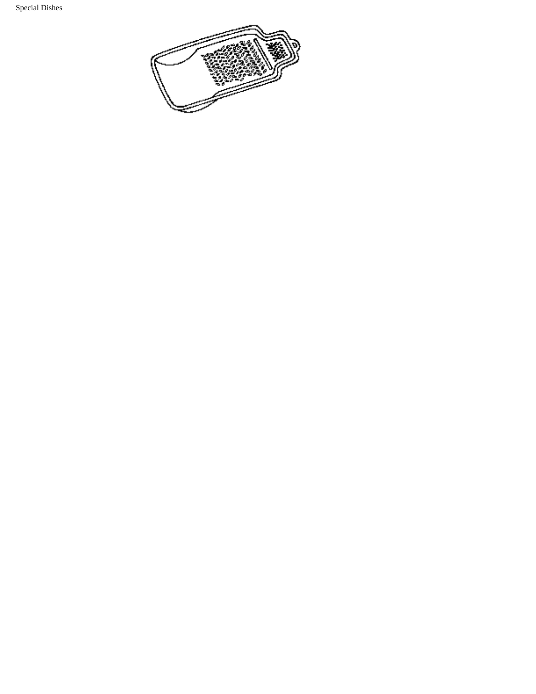Special Dishes

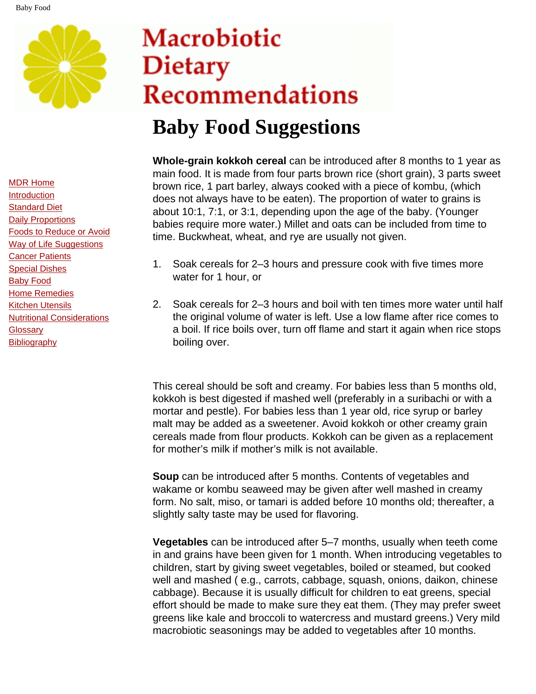<span id="page-31-0"></span>

#### [MDR Home](#page-0-0) **[Introduction](#page-1-0) [Standard Diet](#page-6-0)** [Daily Proportions](#page-14-0) [Foods to Reduce or Avoid](#page-16-0)  [Way of Life Suggestions](#page-19-0) [Cancer Patients](#page-22-0) [Special Dishes](#page-23-0) [Baby Food](#page-31-0) [Home Remedies](#page-33-0) [Kitchen Utensils](#page-42-0) [Nutritional Considerations](#page-46-0) **[Glossary](#page-49-0)** [Bibliography](#page-55-0)

# **Macrobiotic Dietary Recommendations Baby Food Suggestions**

**Whole-grain kokkoh cereal** can be introduced after 8 months to 1 year as main food. It is made from four parts brown rice (short grain), 3 parts sweet brown rice, 1 part barley, always cooked with a piece of kombu, (which does not always have to be eaten). The proportion of water to grains is about 10:1, 7:1, or 3:1, depending upon the age of the baby. (Younger babies require more water.) Millet and oats can be included from time to time. Buckwheat, wheat, and rye are usually not given.

- 1. Soak cereals for 2–3 hours and pressure cook with five times more water for 1 hour, or
- 2. Soak cereals for 2–3 hours and boil with ten times more water until half the original volume of water is left. Use a low flame after rice comes to a boil. If rice boils over, turn off flame and start it again when rice stops boiling over.

This cereal should be soft and creamy. For babies less than 5 months old, kokkoh is best digested if mashed well (preferably in a suribachi or with a mortar and pestle). For babies less than 1 year old, rice syrup or barley malt may be added as a sweetener. Avoid kokkoh or other creamy grain cereals made from flour products. Kokkoh can be given as a replacement for mother's milk if mother's milk is not available.

**Soup** can be introduced after 5 months. Contents of vegetables and wakame or kombu seaweed may be given after well mashed in creamy form. No salt, miso, or tamari is added before 10 months old; thereafter, a slightly salty taste may be used for flavoring.

**Vegetables** can be introduced after 5–7 months, usually when teeth come in and grains have been given for 1 month. When introducing vegetables to children, start by giving sweet vegetables, boiled or steamed, but cooked well and mashed ( e.g., carrots, cabbage, squash, onions, daikon, chinese cabbage). Because it is usually difficult for children to eat greens, special effort should be made to make sure they eat them. (They may prefer sweet greens like kale and broccoli to watercress and mustard greens.) Very mild macrobiotic seasonings may be added to vegetables after 10 months.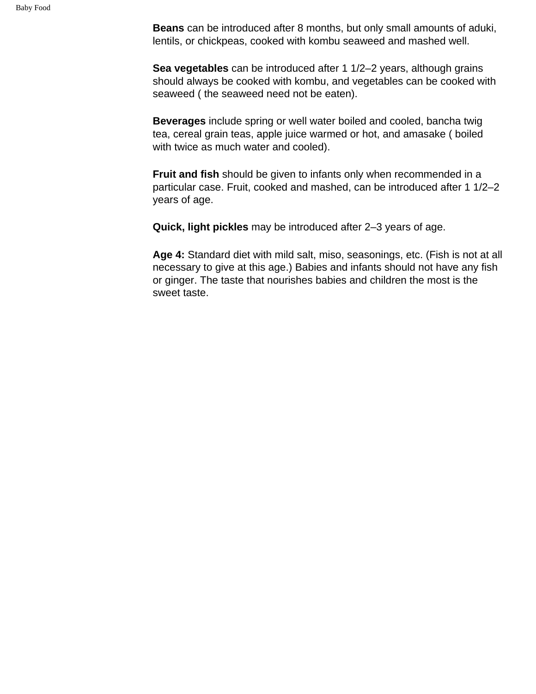**Beans** can be introduced after 8 months, but only small amounts of aduki, lentils, or chickpeas, cooked with kombu seaweed and mashed well.

**Sea vegetables** can be introduced after 1 1/2–2 years, although grains should always be cooked with kombu, and vegetables can be cooked with seaweed ( the seaweed need not be eaten).

**Beverages** include spring or well water boiled and cooled, bancha twig tea, cereal grain teas, apple juice warmed or hot, and amasake ( boiled with twice as much water and cooled).

**Fruit and fish** should be given to infants only when recommended in a particular case. Fruit, cooked and mashed, can be introduced after 1 1/2–2 years of age.

**Quick, light pickles** may be introduced after 2–3 years of age.

**Age 4:** Standard diet with mild salt, miso, seasonings, etc. (Fish is not at all necessary to give at this age.) Babies and infants should not have any fish or ginger. The taste that nourishes babies and children the most is the sweet taste.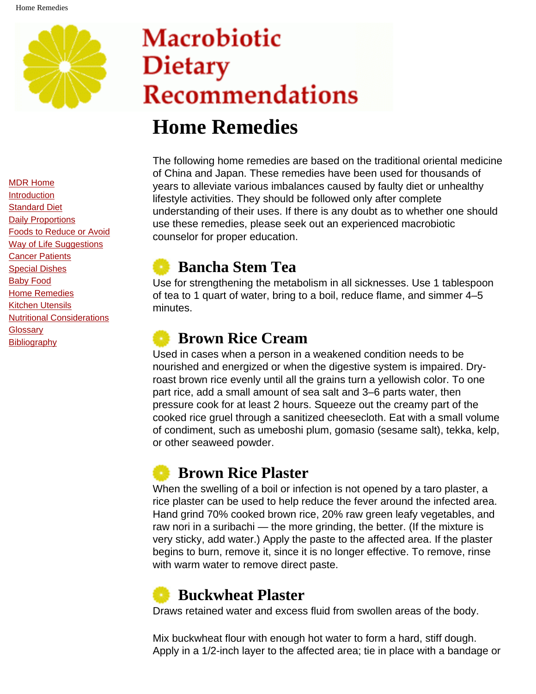<span id="page-33-0"></span>

#### [MDR Home](#page-0-0) **[Introduction](#page-1-0) [Standard Diet](#page-6-0)** [Daily Proportions](#page-14-0) [Foods to Reduce or Avoid](#page-16-0)  [Way of Life Suggestions](#page-19-0) [Cancer Patients](#page-22-0) [Special Dishes](#page-23-0) [Baby Food](#page-31-0) [Home Remedies](#page-33-0) [Kitchen Utensils](#page-42-0)

[Nutritional Considerations](#page-46-0)

**[Glossary](#page-49-0)** [Bibliography](#page-55-0)

# **Macrobiotic Dietary Recommendations Home Remedies**

The following home remedies are based on the traditional oriental medicine of China and Japan. These remedies have been used for thousands of years to alleviate various imbalances caused by faulty diet or unhealthy lifestyle activities. They should be followed only after complete understanding of their uses. If there is any doubt as to whether one should use these remedies, please seek out an experienced macrobiotic counselor for proper education.

### **Bancha Stem Tea**

Use for strengthening the metabolism in all sicknesses. Use 1 tablespoon of tea to 1 quart of water, bring to a boil, reduce flame, and simmer 4–5 minutes.

### **Brown Rice Cream**

Used in cases when a person in a weakened condition needs to be nourished and energized or when the digestive system is impaired. Dryroast brown rice evenly until all the grains turn a yellowish color. To one part rice, add a small amount of sea salt and 3–6 parts water, then pressure cook for at least 2 hours. Squeeze out the creamy part of the cooked rice gruel through a sanitized cheesecloth. Eat with a small volume of condiment, such as umeboshi plum, gomasio (sesame salt), tekka, kelp, or other seaweed powder.

## **Brown Rice Plaster**

When the swelling of a boil or infection is not opened by a taro plaster, a rice plaster can be used to help reduce the fever around the infected area. Hand grind 70% cooked brown rice, 20% raw green leafy vegetables, and raw nori in a suribachi — the more grinding, the better. (If the mixture is very sticky, add water.) Apply the paste to the affected area. If the plaster begins to burn, remove it, since it is no longer effective. To remove, rinse with warm water to remove direct paste.

## **Buckwheat Plaster**

Draws retained water and excess fluid from swollen areas of the body.

Mix buckwheat flour with enough hot water to form a hard, stiff dough. Apply in a 1/2-inch layer to the affected area; tie in place with a bandage or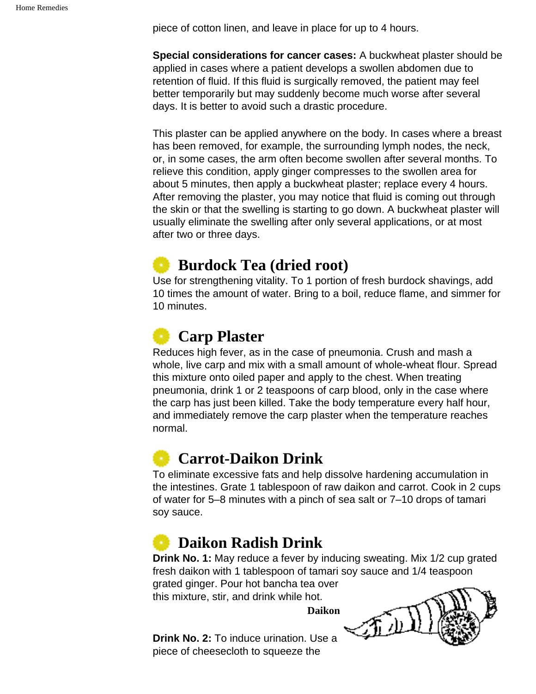piece of cotton linen, and leave in place for up to 4 hours.

**Special considerations for cancer cases:** A buckwheat plaster should be applied in cases where a patient develops a swollen abdomen due to retention of fluid. If this fluid is surgically removed, the patient may feel better temporarily but may suddenly become much worse after several days. It is better to avoid such a drastic procedure.

This plaster can be applied anywhere on the body. In cases where a breast has been removed, for example, the surrounding lymph nodes, the neck, or, in some cases, the arm often become swollen after several months. To relieve this condition, apply ginger compresses to the swollen area for about 5 minutes, then apply a buckwheat plaster; replace every 4 hours. After removing the plaster, you may notice that fluid is coming out through the skin or that the swelling is starting to go down. A buckwheat plaster will usually eliminate the swelling after only several applications, or at most after two or three days.

### **Burdock Tea (dried root)**

Use for strengthening vitality. To 1 portion of fresh burdock shavings, add 10 times the amount of water. Bring to a boil, reduce flame, and simmer for 10 minutes.

### **Carp Plaster**

Reduces high fever, as in the case of pneumonia. Crush and mash a whole, live carp and mix with a small amount of whole-wheat flour. Spread this mixture onto oiled paper and apply to the chest. When treating pneumonia, drink 1 or 2 teaspoons of carp blood, only in the case where the carp has just been killed. Take the body temperature every half hour, and immediately remove the carp plaster when the temperature reaches normal.

### **Carrot-Daikon Drink**

To eliminate excessive fats and help dissolve hardening accumulation in the intestines. Grate 1 tablespoon of raw daikon and carrot. Cook in 2 cups of water for 5–8 minutes with a pinch of sea salt or 7–10 drops of tamari soy sauce.

### **Daikon Radish Drink**

**Drink No. 1:** May reduce a fever by inducing sweating. Mix 1/2 cup grated fresh daikon with 1 tablespoon of tamari soy sauce and 1/4 teaspoon grated ginger. Pour hot bancha tea over

this mixture, stir, and drink while hot.

**Daikon**

**Drink No. 2:** To induce urination. Use a piece of cheesecloth to squeeze the

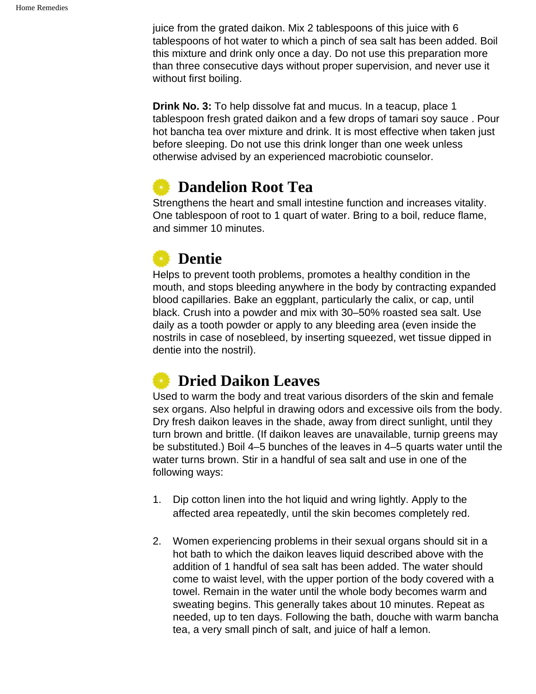juice from the grated daikon. Mix 2 tablespoons of this juice with 6 tablespoons of hot water to which a pinch of sea salt has been added. Boil this mixture and drink only once a day. Do not use this preparation more than three consecutive days without proper supervision, and never use it without first boiling.

**Drink No. 3:** To help dissolve fat and mucus. In a teacup, place 1 tablespoon fresh grated daikon and a few drops of tamari soy sauce . Pour hot bancha tea over mixture and drink. It is most effective when taken just before sleeping. Do not use this drink longer than one week unless otherwise advised by an experienced macrobiotic counselor.

### **Dandelion Root Tea**

Strengthens the heart and small intestine function and increases vitality. One tablespoon of root to 1 quart of water. Bring to a boil, reduce flame, and simmer 10 minutes.



Helps to prevent tooth problems, promotes a healthy condition in the mouth, and stops bleeding anywhere in the body by contracting expanded blood capillaries. Bake an eggplant, particularly the calix, or cap, until black. Crush into a powder and mix with 30–50% roasted sea salt. Use daily as a tooth powder or apply to any bleeding area (even inside the nostrils in case of nosebleed, by inserting squeezed, wet tissue dipped in dentie into the nostril).

### *<b>B* Dried Daikon Leaves

Used to warm the body and treat various disorders of the skin and female sex organs. Also helpful in drawing odors and excessive oils from the body. Dry fresh daikon leaves in the shade, away from direct sunlight, until they turn brown and brittle. (If daikon leaves are unavailable, turnip greens may be substituted.) Boil 4–5 bunches of the leaves in 4–5 quarts water until the water turns brown. Stir in a handful of sea salt and use in one of the following ways:

- 1. Dip cotton linen into the hot liquid and wring lightly. Apply to the affected area repeatedly, until the skin becomes completely red.
- 2. Women experiencing problems in their sexual organs should sit in a hot bath to which the daikon leaves liquid described above with the addition of 1 handful of sea salt has been added. The water should come to waist level, with the upper portion of the body covered with a towel. Remain in the water until the whole body becomes warm and sweating begins. This generally takes about 10 minutes. Repeat as needed, up to ten days. Following the bath, douche with warm bancha tea, a very small pinch of salt, and juice of half a lemon.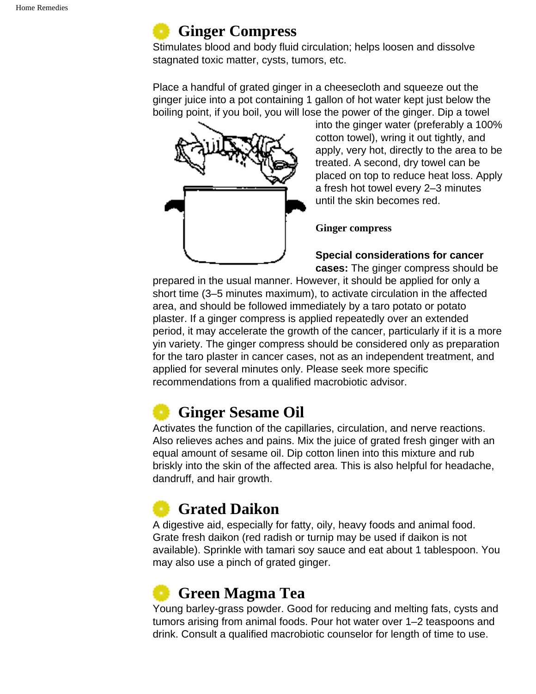### **Ginger Compress**

Stimulates blood and body fluid circulation; helps loosen and dissolve stagnated toxic matter, cysts, tumors, etc.

Place a handful of grated ginger in a cheesecloth and squeeze out the ginger juice into a pot containing 1 gallon of hot water kept just below the boiling point, if you boil, you will lose the power of the ginger. Dip a towel



into the ginger water (preferably a 100% cotton towel), wring it out tightly, and apply, very hot, directly to the area to be treated. A second, dry towel can be placed on top to reduce heat loss. Apply a fresh hot towel every 2–3 minutes until the skin becomes red.

**Ginger compress**

**Special considerations for cancer cases:** The ginger compress should be

prepared in the usual manner. However, it should be applied for only a short time (3–5 minutes maximum), to activate circulation in the affected area, and should be followed immediately by a taro potato or potato plaster. If a ginger compress is applied repeatedly over an extended period, it may accelerate the growth of the cancer, particularly if it is a more yin variety. The ginger compress should be considered only as preparation for the taro plaster in cancer cases, not as an independent treatment, and applied for several minutes only. Please seek more specific recommendations from a qualified macrobiotic advisor.

### **Ginger Sesame Oil**

Activates the function of the capillaries, circulation, and nerve reactions. Also relieves aches and pains. Mix the juice of grated fresh ginger with an equal amount of sesame oil. Dip cotton linen into this mixture and rub briskly into the skin of the affected area. This is also helpful for headache, dandruff, and hair growth.

## **Grated Daikon**

A digestive aid, especially for fatty, oily, heavy foods and animal food. Grate fresh daikon (red radish or turnip may be used if daikon is not available). Sprinkle with tamari soy sauce and eat about 1 tablespoon. You may also use a pinch of grated ginger.

### **Green Magma Tea**

Young barley-grass powder. Good for reducing and melting fats, cysts and tumors arising from animal foods. Pour hot water over 1–2 teaspoons and drink. Consult a qualified macrobiotic counselor for length of time to use.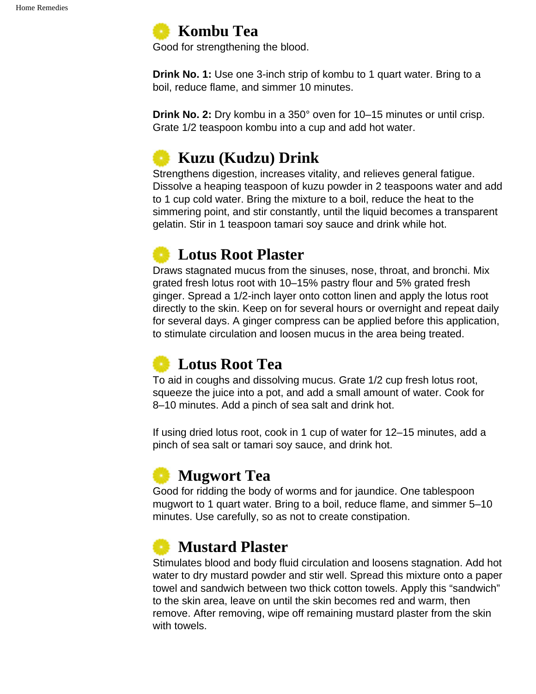### **Kombu Tea**

Good for strengthening the blood.

**Drink No. 1:** Use one 3-inch strip of kombu to 1 quart water. Bring to a boil, reduce flame, and simmer 10 minutes.

**Drink No. 2:** Dry kombu in a 350° oven for 10–15 minutes or until crisp. Grate 1/2 teaspoon kombu into a cup and add hot water.



Strengthens digestion, increases vitality, and relieves general fatigue. Dissolve a heaping teaspoon of kuzu powder in 2 teaspoons water and add to 1 cup cold water. Bring the mixture to a boil, reduce the heat to the simmering point, and stir constantly, until the liquid becomes a transparent gelatin. Stir in 1 teaspoon tamari soy sauce and drink while hot.

### **Lotus Root Plaster**

Draws stagnated mucus from the sinuses, nose, throat, and bronchi. Mix grated fresh lotus root with 10–15% pastry flour and 5% grated fresh ginger. Spread a 1/2-inch layer onto cotton linen and apply the lotus root directly to the skin. Keep on for several hours or overnight and repeat daily for several days. A ginger compress can be applied before this application, to stimulate circulation and loosen mucus in the area being treated.

## *Lotus Root Tea*

To aid in coughs and dissolving mucus. Grate 1/2 cup fresh lotus root, squeeze the juice into a pot, and add a small amount of water. Cook for 8–10 minutes. Add a pinch of sea salt and drink hot.

If using dried lotus root, cook in 1 cup of water for 12–15 minutes, add a pinch of sea salt or tamari soy sauce, and drink hot.

## **Mugwort Tea**

Good for ridding the body of worms and for jaundice. One tablespoon mugwort to 1 quart water. Bring to a boil, reduce flame, and simmer 5–10 minutes. Use carefully, so as not to create constipation.

## **Mustard Plaster**

Stimulates blood and body fluid circulation and loosens stagnation. Add hot water to dry mustard powder and stir well. Spread this mixture onto a paper towel and sandwich between two thick cotton towels. Apply this "sandwich" to the skin area, leave on until the skin becomes red and warm, then remove. After removing, wipe off remaining mustard plaster from the skin with towels.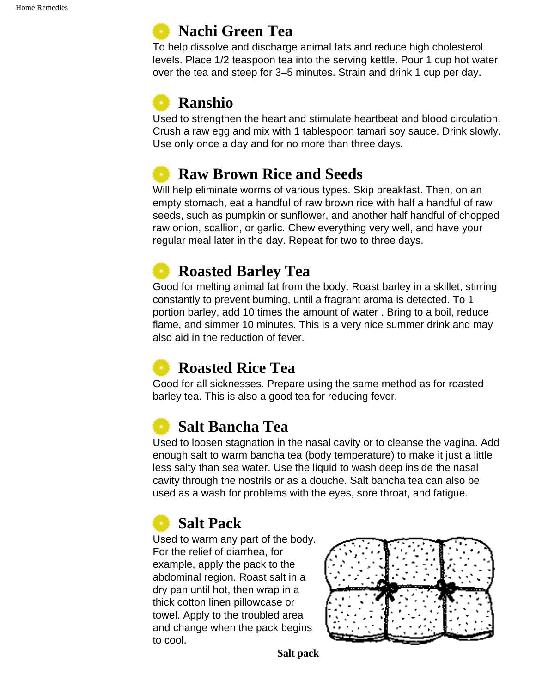### **Nachi Green Tea**

To help dissolve and discharge animal fats and reduce high cholesterol levels. Place 1/2 teaspoon tea into the serving kettle. Pour 1 cup hot water over the tea and steep for 3–5 minutes. Strain and drink 1 cup per day.

### **Ranshio**

Used to strengthen the heart and stimulate heartbeat and blood circulation. Crush a raw egg and mix with 1 tablespoon tamari soy sauce. Drink slowly. Use only once a day and for no more than three days.

### **Raw Brown Rice and Seeds**

Will help eliminate worms of various types. Skip breakfast. Then, on an empty stomach, eat a handful of raw brown rice with half a handful of raw seeds, such as pumpkin or sunflower, and another half handful of chopped raw onion, scallion, or garlic. Chew everything very well, and have your regular meal later in the day. Repeat for two to three days.

### **Roasted Barley Tea**

Good for melting animal fat from the body. Roast barley in a skillet, stirring constantly to prevent burning, until a fragrant aroma is detected. To 1 portion barley, add 10 times the amount of water . Bring to a boil, reduce flame, and simmer 10 minutes. This is a very nice summer drink and may also aid in the reduction of fever.

### **Roasted Rice Tea**

Good for all sicknesses. Prepare using the same method as for roasted barley tea. This is also a good tea for reducing fever.

## **Salt Bancha Tea**

Used to loosen stagnation in the nasal cavity or to cleanse the vagina. Add enough salt to warm bancha tea (body temperature) to make it just a little less salty than sea water. Use the liquid to wash deep inside the nasal cavity through the nostrils or as a douche. Salt bancha tea can also be used as a wash for problems with the eyes, sore throat, and fatigue.

## **Salt Pack**

Used to warm any part of the body. For the relief of diarrhea, for example, apply the pack to the abdominal region. Roast salt in a dry pan until hot, then wrap in a thick cotton linen pillowcase or towel. Apply to the troubled area and change when the pack begins to cool.



**Salt pack**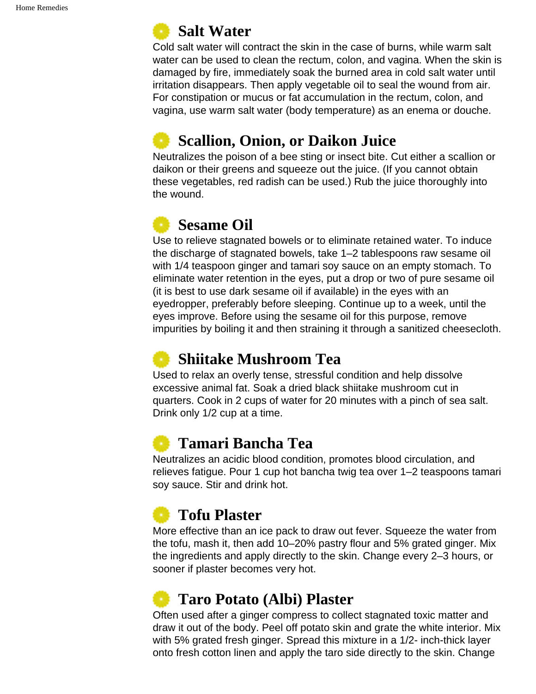### **Salt Water**

Cold salt water will contract the skin in the case of burns, while warm salt water can be used to clean the rectum, colon, and vagina. When the skin is damaged by fire, immediately soak the burned area in cold salt water until irritation disappears. Then apply vegetable oil to seal the wound from air. For constipation or mucus or fat accumulation in the rectum, colon, and vagina, use warm salt water (body temperature) as an enema or douche.

### **Scallion, Onion, or Daikon Juice**

Neutralizes the poison of a bee sting or insect bite. Cut either a scallion or daikon or their greens and squeeze out the juice. (If you cannot obtain these vegetables, red radish can be used.) Rub the juice thoroughly into the wound.



Use to relieve stagnated bowels or to eliminate retained water. To induce the discharge of stagnated bowels, take 1–2 tablespoons raw sesame oil with 1/4 teaspoon ginger and tamari soy sauce on an empty stomach. To eliminate water retention in the eyes, put a drop or two of pure sesame oil (it is best to use dark sesame oil if available) in the eyes with an eyedropper, preferably before sleeping. Continue up to a week, until the eyes improve. Before using the sesame oil for this purpose, remove impurities by boiling it and then straining it through a sanitized cheesecloth.

### **Shiitake Mushroom Tea**

Used to relax an overly tense, stressful condition and help dissolve excessive animal fat. Soak a dried black shiitake mushroom cut in quarters. Cook in 2 cups of water for 20 minutes with a pinch of sea salt. Drink only 1/2 cup at a time.

### **Tamari Bancha Tea**

Neutralizes an acidic blood condition, promotes blood circulation, and relieves fatigue. Pour 1 cup hot bancha twig tea over 1–2 teaspoons tamari soy sauce. Stir and drink hot.



More effective than an ice pack to draw out fever. Squeeze the water from the tofu, mash it, then add 10–20% pastry flour and 5% grated ginger. Mix the ingredients and apply directly to the skin. Change every 2–3 hours, or sooner if plaster becomes very hot.

### **Taro Potato (Albi) Plaster**

Often used after a ginger compress to collect stagnated toxic matter and draw it out of the body. Peel off potato skin and grate the white interior. Mix with 5% grated fresh ginger. Spread this mixture in a 1/2- inch-thick layer onto fresh cotton linen and apply the taro side directly to the skin. Change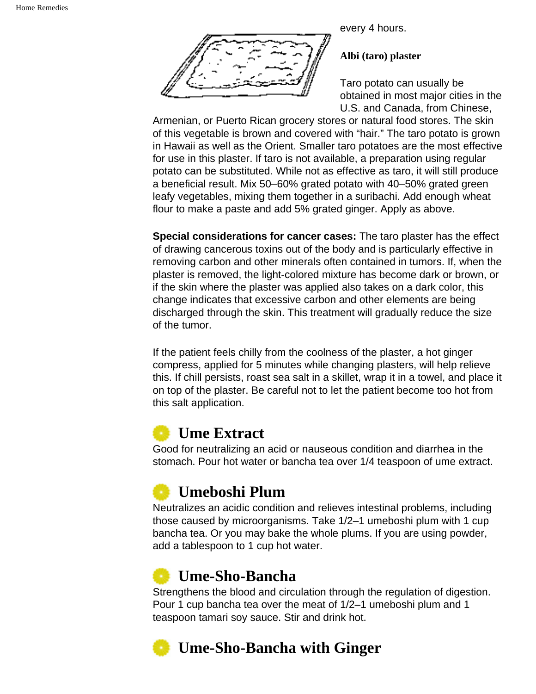every 4 hours.

#### **Albi (taro) plaster**

Taro potato can usually be obtained in most major cities in the U.S. and Canada, from Chinese,

Armenian, or Puerto Rican grocery stores or natural food stores. The skin of this vegetable is brown and covered with "hair." The taro potato is grown in Hawaii as well as the Orient. Smaller taro potatoes are the most effective for use in this plaster. If taro is not available, a preparation using regular potato can be substituted. While not as effective as taro, it will still produce a beneficial result. Mix 50–60% grated potato with 40–50% grated green leafy vegetables, mixing them together in a suribachi. Add enough wheat flour to make a paste and add 5% grated ginger. Apply as above.

**Special considerations for cancer cases:** The taro plaster has the effect of drawing cancerous toxins out of the body and is particularly effective in removing carbon and other minerals often contained in tumors. If, when the plaster is removed, the light-colored mixture has become dark or brown, or if the skin where the plaster was applied also takes on a dark color, this change indicates that excessive carbon and other elements are being discharged through the skin. This treatment will gradually reduce the size of the tumor.

If the patient feels chilly from the coolness of the plaster, a hot ginger compress, applied for 5 minutes while changing plasters, will help relieve this. If chill persists, roast sea salt in a skillet, wrap it in a towel, and place it on top of the plaster. Be careful not to let the patient become too hot from this salt application.

### **Ume Extract**

Good for neutralizing an acid or nauseous condition and diarrhea in the stomach. Pour hot water or bancha tea over 1/4 teaspoon of ume extract.

## **Umeboshi Plum**

Neutralizes an acidic condition and relieves intestinal problems, including those caused by microorganisms. Take 1/2–1 umeboshi plum with 1 cup bancha tea. Or you may bake the whole plums. If you are using powder, add a tablespoon to 1 cup hot water.

### **Ume-Sho-Bancha**

Strengthens the blood and circulation through the regulation of digestion. Pour 1 cup bancha tea over the meat of 1/2–1 umeboshi plum and 1 teaspoon tamari soy sauce. Stir and drink hot.



### **Ume-Sho-Bancha with Ginger**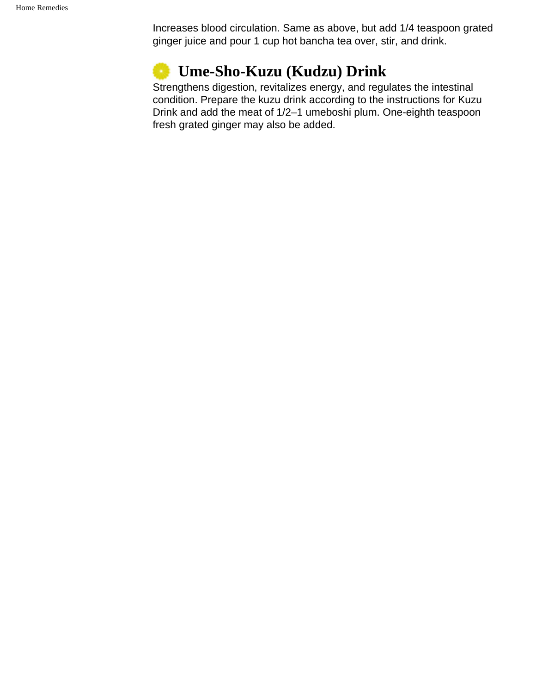Increases blood circulation. Same as above, but add 1/4 teaspoon grated ginger juice and pour 1 cup hot bancha tea over, stir, and drink.

### **Ume-Sho-Kuzu (Kudzu) Drink**

Strengthens digestion, revitalizes energy, and regulates the intestinal condition. Prepare the kuzu drink according to the instructions for Kuzu Drink and add the meat of 1/2–1 umeboshi plum. One-eighth teaspoon fresh grated ginger may also be added.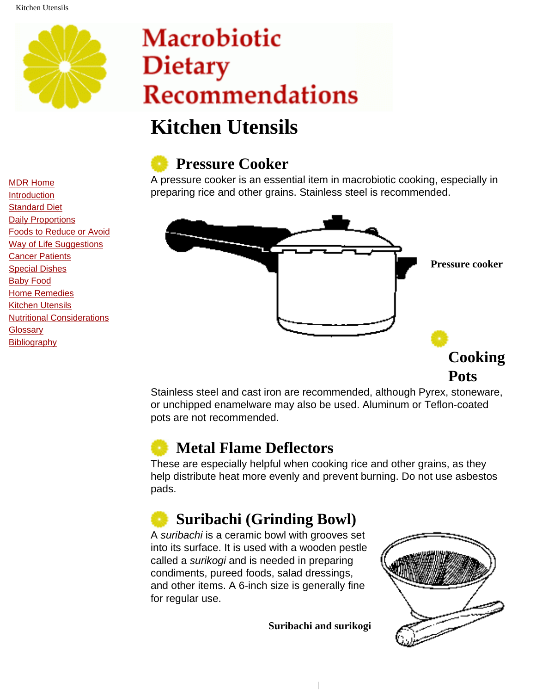<span id="page-42-0"></span>

# **Macrobiotic Dietary Recommendations Kitchen Utensils**

### **Pressure Cooker**

A pressure cooker is an essential item in macrobiotic cooking, especially in preparing rice and other grains. Stainless steel is recommended.



Stainless steel and cast iron are recommended, although Pyrex, stoneware, or unchipped enamelware may also be used. Aluminum or Teflon-coated pots are not recommended.

### **Metal Flame Deflectors**

These are especially helpful when cooking rice and other grains, as they help distribute heat more evenly and prevent burning. Do not use asbestos pads.

### **Suribachi (Grinding Bowl)**

A *suribachi* is a ceramic bowl with grooves set into its surface. It is used with a wooden pestle called a *surikogi* and is needed in preparing condiments, pureed foods, salad dressings, and other items. A 6-inch size is generally fine for regular use.

http://www.pngusa.net/ $\sim$ 



**Suribachi and surikogi**

[MDR Home](#page-0-0) **[Introduction](#page-1-0)** [Standard Diet](#page-6-0) [Daily Proportions](#page-14-0) [Foods to Reduce or Avoid](#page-16-0)  [Way of Life Suggestions](#page-19-0) [Cancer Patients](#page-22-0) [Special Dishes](#page-23-0) [Baby Food](#page-31-0) [Home Remedies](#page-33-0) [Kitchen Utensils](#page-42-0) [Nutritional Considerations](#page-46-0) **[Glossary](#page-49-0) [Bibliography](#page-55-0)**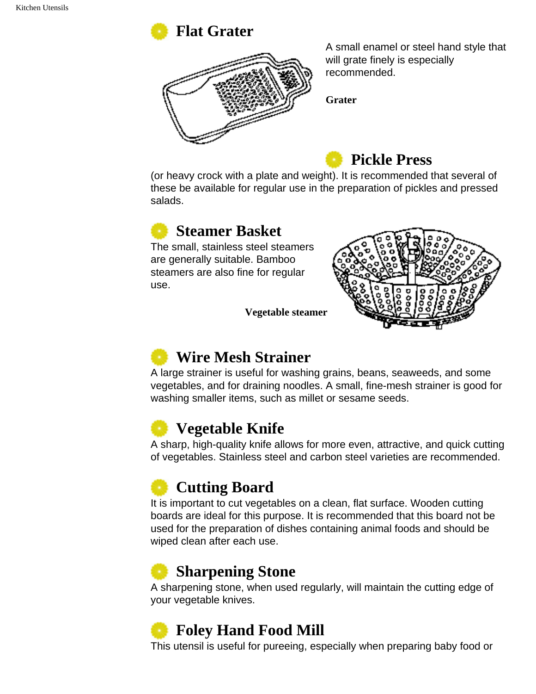



A small enamel or steel hand style that will grate finely is especially recommended.

**Grater**

### **Pickle Press**

(or heavy crock with a plate and weight). It is recommended that several of these be available for regular use in the preparation of pickles and pressed salads.



The small, stainless steel steamers are generally suitable. Bamboo steamers are also fine for regular use.

**Vegetable steamer**



### **Wire Mesh Strainer**

A large strainer is useful for washing grains, beans, seaweeds, and some vegetables, and for draining noodles. A small, fine-mesh strainer is good for washing smaller items, such as millet or sesame seeds.



### **Vegetable Knife**

A sharp, high-quality knife allows for more even, attractive, and quick cutting of vegetables. Stainless steel and carbon steel varieties are recommended.

## **Cutting Board**

It is important to cut vegetables on a clean, flat surface. Wooden cutting boards are ideal for this purpose. It is recommended that this board not be used for the preparation of dishes containing animal foods and should be wiped clean after each use.

### **Sharpening Stone**

A sharpening stone, when used regularly, will maintain the cutting edge of your vegetable knives.

### **Foley Hand Food Mill**

This utensil is useful for pureeing, especially when preparing baby food or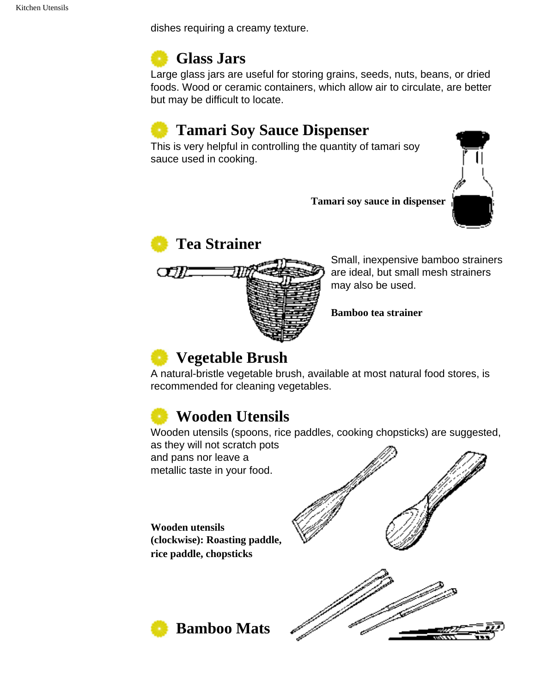dishes requiring a creamy texture.



Large glass jars are useful for storing grains, seeds, nuts, beans, or dried foods. Wood or ceramic containers, which allow air to circulate, are better but may be difficult to locate.

### **Tamari Soy Sauce Dispenser**

This is very helpful in controlling the quantity of tamari soy sauce used in cooking.





**Tamari soy sauce in dispenser**



Small, inexpensive bamboo strainers are ideal, but small mesh strainers may also be used.

```
Bamboo tea strainer
```
## **Vegetable Brush**

A natural-bristle vegetable brush, available at most natural food stores, is recommended for cleaning vegetables.

### **Wooden Utensils**

Wooden utensils (spoons, rice paddles, cooking chopsticks) are suggested,

as they will not scratch pots and pans nor leave a metallic taste in your food.

**Wooden utensils (clockwise): Roasting paddle, rice paddle, chopsticks**



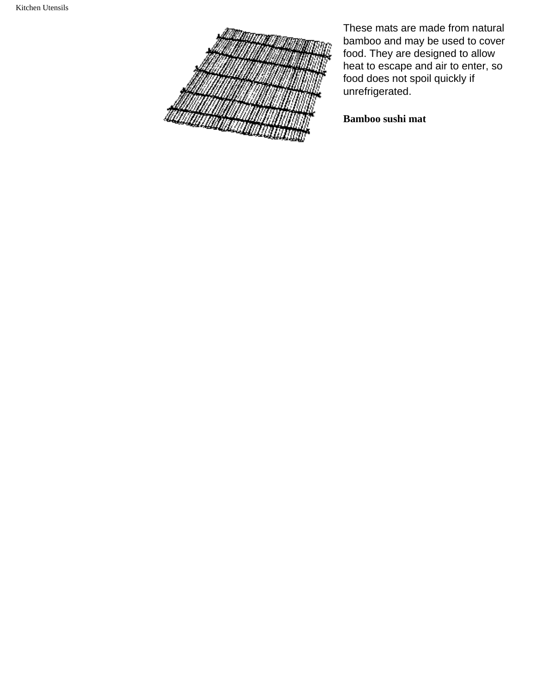

These mats are made from natural bamboo and may be used to cover food. They are designed to allow heat to escape and air to enter, so food does not spoil quickly if unrefrigerated.

**Bamboo sushi mat**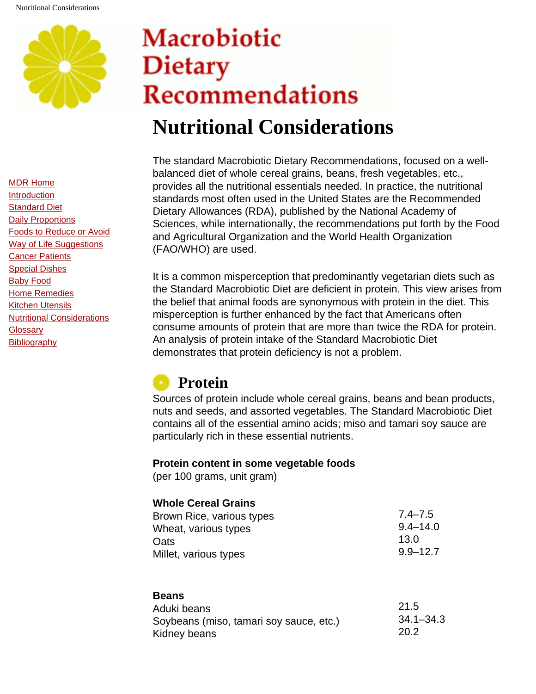<span id="page-46-0"></span>

# **Macrobiotic Dietary Recommendations Nutritional Considerations**

The standard Macrobiotic Dietary Recommendations, focused on a wellbalanced diet of whole cereal grains, beans, fresh vegetables, etc., provides all the nutritional essentials needed. In practice, the nutritional standards most often used in the United States are the Recommended Dietary Allowances (RDA), published by the National Academy of Sciences, while internationally, the recommendations put forth by the Food and Agricultural Organization and the World Health Organization (FAO/WHO) are used.

It is a common misperception that predominantly vegetarian diets such as the Standard Macrobiotic Diet are deficient in protein. This view arises from the belief that animal foods are synonymous with protein in the diet. This misperception is further enhanced by the fact that Americans often consume amounts of protein that are more than twice the RDA for protein. An analysis of protein intake of the Standard Macrobiotic Diet demonstrates that protein deficiency is not a problem.



Sources of protein include whole cereal grains, beans and bean products, nuts and seeds, and assorted vegetables. The Standard Macrobiotic Diet contains all of the essential amino acids; miso and tamari soy sauce are particularly rich in these essential nutrients.

#### **Protein content in some vegetable foods**

(per 100 grams, unit gram)

#### **Whole Cereal Grains**

| $7.4 - 7.5$  |
|--------------|
| $9.4 - 14.0$ |
| 13.0         |
| $9.9 - 12.7$ |
|              |

#### **Beans**

| Aduki beans                                             | 21.5      |
|---------------------------------------------------------|-----------|
| Soybeans (miso, tamari soy sauce, etc.)<br>Kidney beans | 34.1–34.3 |
|                                                         | 20.2      |

[MDR Home](#page-0-0) [Introduction](#page-1-0) [Standard Diet](#page-6-0) [Daily Proportions](#page-14-0) [Foods to Reduce or Avoid](#page-16-0)  [Way of Life Suggestions](#page-19-0) [Cancer Patients](#page-22-0) [Special Dishes](#page-23-0) [Baby Food](#page-31-0) [Home Remedies](#page-33-0) [Kitchen Utensils](#page-42-0) [Nutritional Considerations](#page-46-0) **[Glossary](#page-49-0) [Bibliography](#page-55-0)**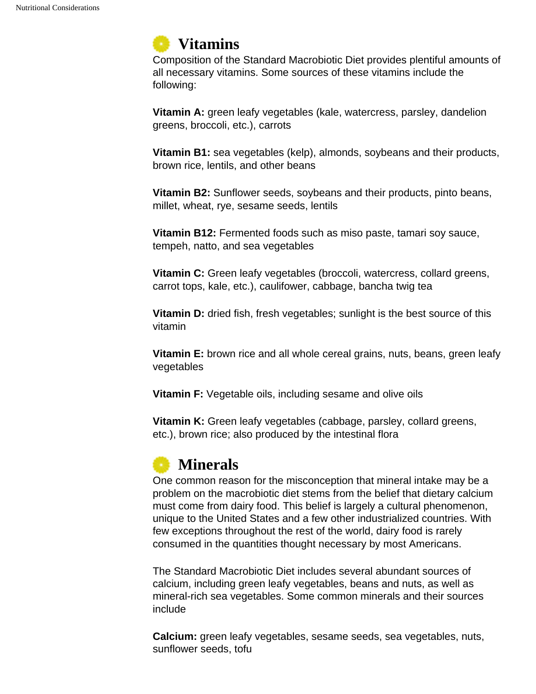

Composition of the Standard Macrobiotic Diet provides plentiful amounts of all necessary vitamins. Some sources of these vitamins include the following:

**Vitamin A:** green leafy vegetables (kale, watercress, parsley, dandelion greens, broccoli, etc.), carrots

**Vitamin B1:** sea vegetables (kelp), almonds, soybeans and their products, brown rice, lentils, and other beans

**Vitamin B2:** Sunflower seeds, soybeans and their products, pinto beans, millet, wheat, rye, sesame seeds, lentils

**Vitamin B12:** Fermented foods such as miso paste, tamari soy sauce, tempeh, natto, and sea vegetables

**Vitamin C:** Green leafy vegetables (broccoli, watercress, collard greens, carrot tops, kale, etc.), caulifower, cabbage, bancha twig tea

**Vitamin D:** dried fish, fresh vegetables; sunlight is the best source of this vitamin

**Vitamin E:** brown rice and all whole cereal grains, nuts, beans, green leafy vegetables

**Vitamin F:** Vegetable oils, including sesame and olive oils

**Vitamin K:** Green leafy vegetables (cabbage, parsley, collard greens, etc.), brown rice; also produced by the intestinal flora



One common reason for the misconception that mineral intake may be a problem on the macrobiotic diet stems from the belief that dietary calcium must come from dairy food. This belief is largely a cultural phenomenon, unique to the United States and a few other industrialized countries. With few exceptions throughout the rest of the world, dairy food is rarely

consumed in the quantities thought necessary by most Americans.

The Standard Macrobiotic Diet includes several abundant sources of calcium, including green leafy vegetables, beans and nuts, as well as mineral-rich sea vegetables. Some common minerals and their sources include

**Calcium:** green leafy vegetables, sesame seeds, sea vegetables, nuts, sunflower seeds, tofu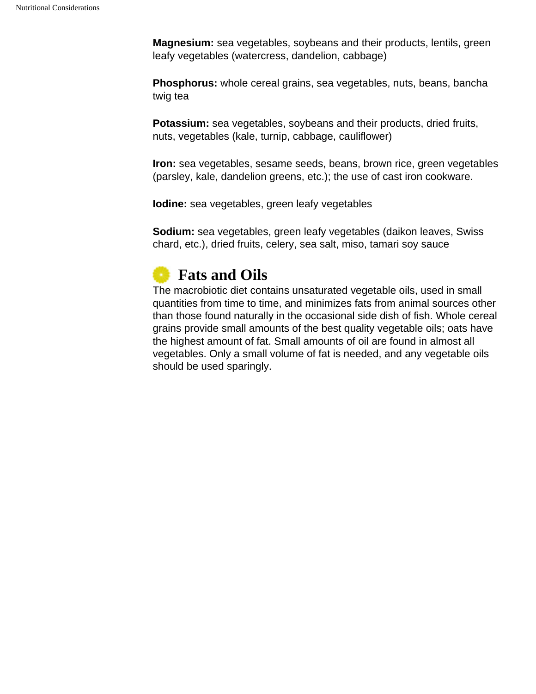**Magnesium:** sea vegetables, soybeans and their products, lentils, green leafy vegetables (watercress, dandelion, cabbage)

**Phosphorus:** whole cereal grains, sea vegetables, nuts, beans, bancha twig tea

**Potassium:** sea vegetables, soybeans and their products, dried fruits, nuts, vegetables (kale, turnip, cabbage, cauliflower)

**Iron:** sea vegetables, sesame seeds, beans, brown rice, green vegetables (parsley, kale, dandelion greens, etc.); the use of cast iron cookware.

**Iodine:** sea vegetables, green leafy vegetables

**Sodium:** sea vegetables, green leafy vegetables (daikon leaves, Swiss chard, etc.), dried fruits, celery, sea salt, miso, tamari soy sauce



The macrobiotic diet contains unsaturated vegetable oils, used in small quantities from time to time, and minimizes fats from animal sources other than those found naturally in the occasional side dish of fish. Whole cereal grains provide small amounts of the best quality vegetable oils; oats have the highest amount of fat. Small amounts of oil are found in almost all vegetables. Only a small volume of fat is needed, and any vegetable oils should be used sparingly.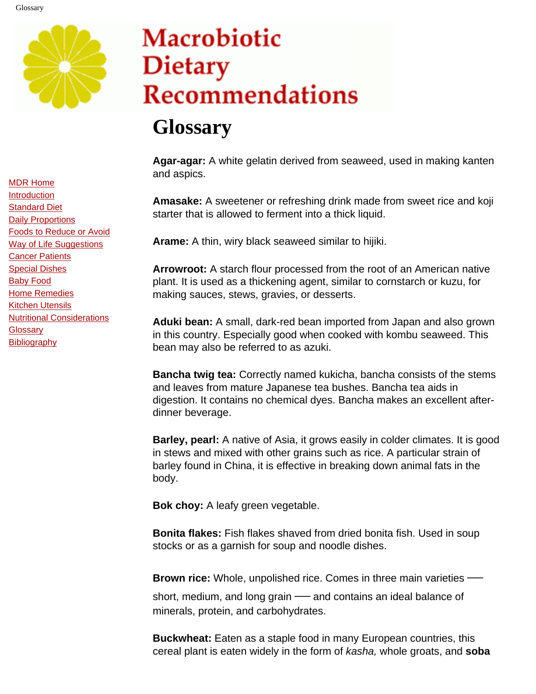<span id="page-49-0"></span>

[MDR Home](#page-0-0) [Introduction](#page-1-0) **[Standard Diet](#page-6-0)** [Daily Proportions](#page-14-0) [Foods to Reduce or Avoid](#page-16-0)  [Way of Life Suggestions](#page-19-0) [Cancer Patients](#page-22-0) [Special Dishes](#page-23-0) [Baby Food](#page-31-0) [Home Remedies](#page-33-0) [Kitchen Utensils](#page-42-0) [Nutritional Considerations](#page-46-0) **[Glossary](#page-49-0)** [Bibliography](#page-55-0)

# **Macrobiotic Dietary Recommendations Glossary**

**Agar-agar:** A white gelatin derived from seaweed, used in making kanten and aspics.

**Amasake:** A sweetener or refreshing drink made from sweet rice and koji starter that is allowed to ferment into a thick liquid.

**Arame:** A thin, wiry black seaweed similar to hijiki.

**Arrowroot:** A starch flour processed from the root of an American native plant. It is used as a thickening agent, similar to cornstarch or kuzu, for making sauces, stews, gravies, or desserts.

**Aduki bean:** A small, dark-red bean imported from Japan and also grown in this country. Especially good when cooked with kombu seaweed. This bean may also be referred to as azuki.

**Bancha twig tea:** Correctly named kukicha, bancha consists of the stems and leaves from mature Japanese tea bushes. Bancha tea aids in digestion. It contains no chemical dyes. Bancha makes an excellent afterdinner beverage.

**Barley, pearl:** A native of Asia, it grows easily in colder climates. It is good in stews and mixed with other grains such as rice. A particular strain of barley found in China, it is effective in breaking down animal fats in the body.

**Bok choy:** A leafy green vegetable.

**Bonita flakes:** Fish flakes shaved from dried bonita fish. Used in soup stocks or as a garnish for soup and noodle dishes.

**Brown rice:** Whole, unpolished rice. Comes in three main varieties —

short, medium, and long grain — and contains an ideal balance of minerals, protein, and carbohydrates.

**Buckwheat:** Eaten as a staple food in many European countries, this cereal plant is eaten widely in the form of *kasha,* whole groats, and **soba**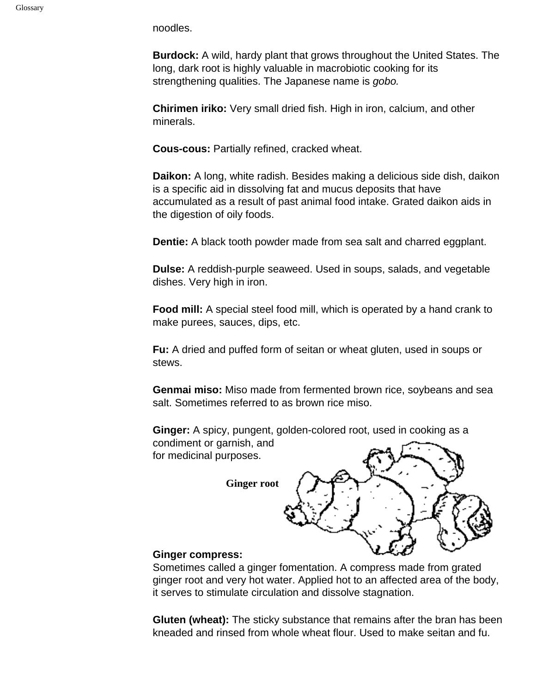noodles.

**Burdock:** A wild, hardy plant that grows throughout the United States. The long, dark root is highly valuable in macrobiotic cooking for its strengthening qualities. The Japanese name is *gobo.*

**Chirimen iriko:** Very small dried fish. High in iron, calcium, and other minerals.

**Cous-cous:** Partially refined, cracked wheat.

**Daikon:** A long, white radish. Besides making a delicious side dish, daikon is a specific aid in dissolving fat and mucus deposits that have accumulated as a result of past animal food intake. Grated daikon aids in the digestion of oily foods.

**Dentie:** A black tooth powder made from sea salt and charred eggplant.

**Dulse:** A reddish-purple seaweed. Used in soups, salads, and vegetable dishes. Very high in iron.

**Food mill:** A special steel food mill, which is operated by a hand crank to make purees, sauces, dips, etc.

**Fu:** A dried and puffed form of seitan or wheat gluten, used in soups or stews.

**Genmai miso:** Miso made from fermented brown rice, soybeans and sea salt. Sometimes referred to as brown rice miso.

**Ginger:** A spicy, pungent, golden-colored root, used in cooking as a condiment or garnish, and for medicinal purposes.

**Ginger root**

#### **Ginger compress:**

Sometimes called a ginger fomentation. A compress made from grated ginger root and very hot water. Applied hot to an affected area of the body, it serves to stimulate circulation and dissolve stagnation.

**Gluten (wheat):** The sticky substance that remains after the bran has been kneaded and rinsed from whole wheat flour. Used to make seitan and fu.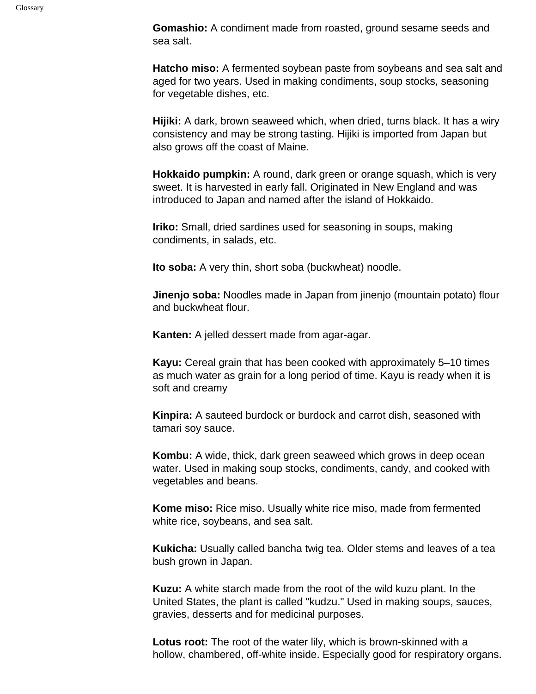**Gomashio:** A condiment made from roasted, ground sesame seeds and sea salt.

**Hatcho miso:** A fermented soybean paste from soybeans and sea salt and aged for two years. Used in making condiments, soup stocks, seasoning for vegetable dishes, etc.

**Hijiki:** A dark, brown seaweed which, when dried, turns black. It has a wiry consistency and may be strong tasting. Hijiki is imported from Japan but also grows off the coast of Maine.

**Hokkaido pumpkin:** A round, dark green or orange squash, which is very sweet. It is harvested in early fall. Originated in New England and was introduced to Japan and named after the island of Hokkaido.

**Iriko:** Small, dried sardines used for seasoning in soups, making condiments, in salads, etc.

**Ito soba:** A very thin, short soba (buckwheat) noodle.

**Jinenjo soba:** Noodles made in Japan from jinenjo (mountain potato) flour and buckwheat flour.

**Kanten:** A jelled dessert made from agar-agar.

**Kayu:** Cereal grain that has been cooked with approximately 5–10 times as much water as grain for a long period of time. Kayu is ready when it is soft and creamy

**Kinpira:** A sauteed burdock or burdock and carrot dish, seasoned with tamari soy sauce.

**Kombu:** A wide, thick, dark green seaweed which grows in deep ocean water. Used in making soup stocks, condiments, candy, and cooked with vegetables and beans.

**Kome miso:** Rice miso. Usually white rice miso, made from fermented white rice, soybeans, and sea salt.

**Kukicha:** Usually called bancha twig tea. Older stems and leaves of a tea bush grown in Japan.

**Kuzu:** A white starch made from the root of the wild kuzu plant. In the United States, the plant is called "kudzu." Used in making soups, sauces, gravies, desserts and for medicinal purposes.

**Lotus root:** The root of the water lily, which is brown-skinned with a hollow, chambered, off-white inside. Especially good for respiratory organs.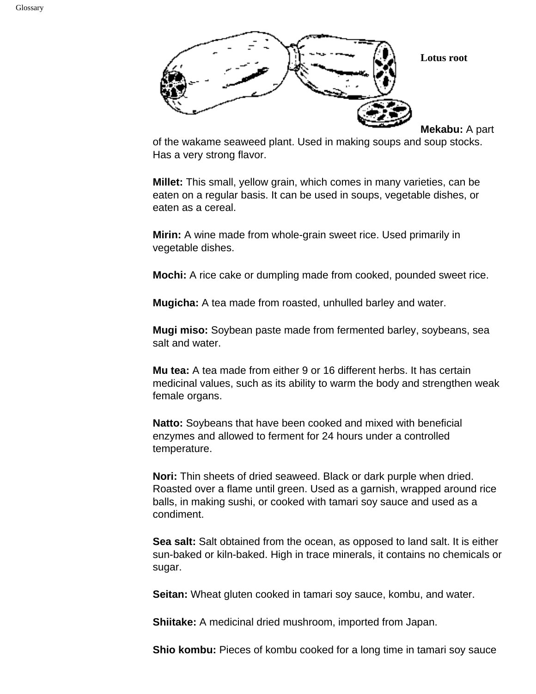

**Mekabu:** A part

of the wakame seaweed plant. Used in making soups and soup stocks. Has a very strong flavor.

**Millet:** This small, yellow grain, which comes in many varieties, can be eaten on a regular basis. It can be used in soups, vegetable dishes, or eaten as a cereal.

**Mirin:** A wine made from whole-grain sweet rice. Used primarily in vegetable dishes.

**Mochi:** A rice cake or dumpling made from cooked, pounded sweet rice.

**Mugicha:** A tea made from roasted, unhulled barley and water.

**Mugi miso:** Soybean paste made from fermented barley, soybeans, sea salt and water.

**Mu tea:** A tea made from either 9 or 16 different herbs. It has certain medicinal values, such as its ability to warm the body and strengthen weak female organs.

**Natto:** Soybeans that have been cooked and mixed with beneficial enzymes and allowed to ferment for 24 hours under a controlled temperature.

**Nori:** Thin sheets of dried seaweed. Black or dark purple when dried. Roasted over a flame until green. Used as a garnish, wrapped around rice balls, in making sushi, or cooked with tamari soy sauce and used as a condiment.

**Sea salt:** Salt obtained from the ocean, as opposed to land salt. It is either sun-baked or kiln-baked. High in trace minerals, it contains no chemicals or sugar.

**Seitan:** Wheat gluten cooked in tamari soy sauce, kombu, and water.

**Shiitake:** A medicinal dried mushroom, imported from Japan.

**Shio kombu:** Pieces of kombu cooked for a long time in tamari soy sauce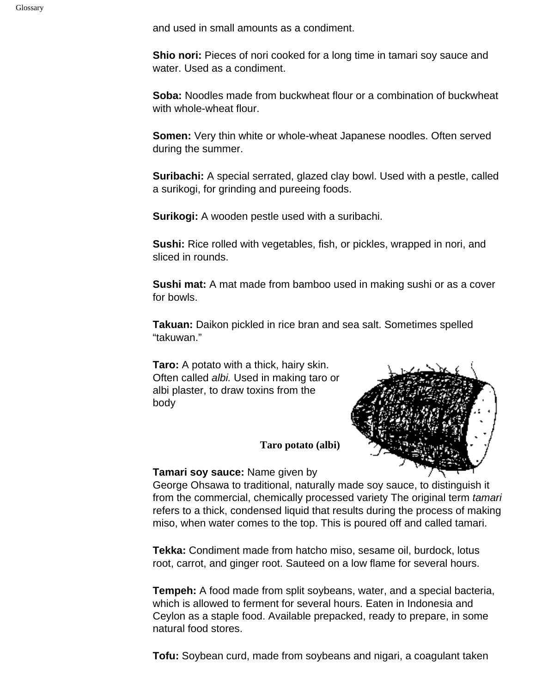and used in small amounts as a condiment.

**Shio nori:** Pieces of nori cooked for a long time in tamari soy sauce and water. Used as a condiment.

**Soba:** Noodles made from buckwheat flour or a combination of buckwheat with whole-wheat flour.

**Somen:** Very thin white or whole-wheat Japanese noodles. Often served during the summer.

**Suribachi:** A special serrated, glazed clay bowl. Used with a pestle, called a surikogi, for grinding and pureeing foods.

**Surikogi:** A wooden pestle used with a suribachi.

**Sushi:** Rice rolled with vegetables, fish, or pickles, wrapped in nori, and sliced in rounds.

**Sushi mat:** A mat made from bamboo used in making sushi or as a cover for bowls.

**Takuan:** Daikon pickled in rice bran and sea salt. Sometimes spelled "takuwan."

**Taro:** A potato with a thick, hairy skin. Often called *albi.* Used in making taro or albi plaster, to draw toxins from the body

**Taro potato (albi)**

**Tamari soy sauce:** Name given by

George Ohsawa to traditional, naturally made soy sauce, to distinguish it from the commercial, chemically processed variety The original term *tamari* refers to a thick, condensed liquid that results during the process of making miso, when water comes to the top. This is poured off and called tamari.

**Tekka:** Condiment made from hatcho miso, sesame oil, burdock, lotus root, carrot, and ginger root. Sauteed on a low flame for several hours.

**Tempeh:** A food made from split soybeans, water, and a special bacteria, which is allowed to ferment for several hours. Eaten in Indonesia and Ceylon as a staple food. Available prepacked, ready to prepare, in some natural food stores.

**Tofu:** Soybean curd, made from soybeans and nigari, a coagulant taken

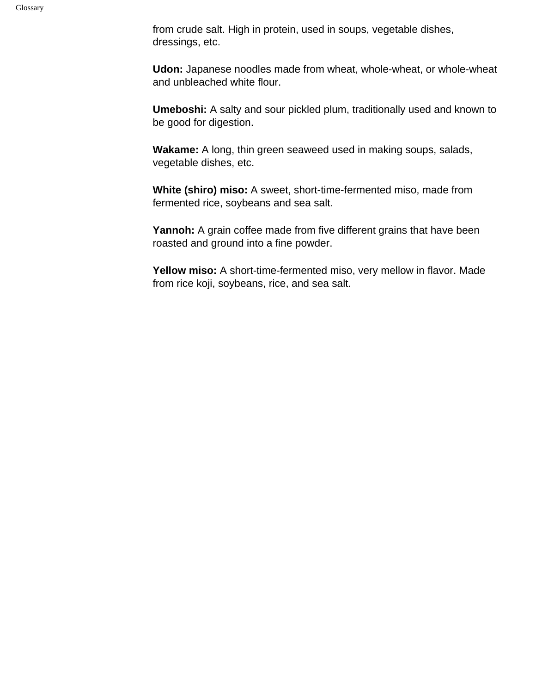from crude salt. High in protein, used in soups, vegetable dishes, dressings, etc.

**Udon:** Japanese noodles made from wheat, whole-wheat, or whole-wheat and unbleached white flour.

**Umeboshi:** A salty and sour pickled plum, traditionally used and known to be good for digestion.

**Wakame:** A long, thin green seaweed used in making soups, salads, vegetable dishes, etc.

**White (shiro) miso:** A sweet, short-time-fermented miso, made from fermented rice, soybeans and sea salt.

Yannoh: A grain coffee made from five different grains that have been roasted and ground into a fine powder.

**Yellow miso:** A short-time-fermented miso, very mellow in flavor. Made from rice koji, soybeans, rice, and sea salt.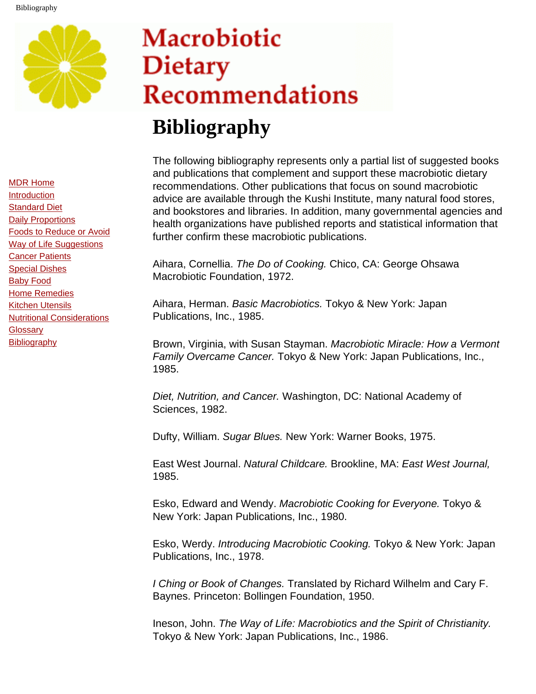<span id="page-55-0"></span>

# **Macrobiotic Dietary** Recommendations **Bibliography**

The following bibliography represents only a partial list of suggested books and publications that complement and support these macrobiotic dietary recommendations. Other publications that focus on sound macrobiotic advice are available through the Kushi Institute, many natural food stores, and bookstores and libraries. In addition, many governmental agencies and health organizations have published reports and statistical information that further confirm these macrobiotic publications.

Aihara, Cornellia. *The Do of Cooking.* Chico, CA: George Ohsawa Macrobiotic Foundation, 1972.

Aihara, Herman. *Basic Macrobiotics.* Tokyo & New York: Japan Publications, Inc., 1985.

Brown, Virginia, with Susan Stayman. *Macrobiotic Miracle: How a Vermont Family Overcame Cancer.* Tokyo & New York: Japan Publications, Inc., 1985.

*Diet, Nutrition, and Cancer.* Washington, DC: National Academy of Sciences, 1982.

Dufty, William. *Sugar Blues.* New York: Warner Books, 1975.

East West Journal. *Natural Childcare.* Brookline, MA: *East West Journal,* 1985.

Esko, Edward and Wendy. *Macrobiotic Cooking for Everyone.* Tokyo & New York: Japan Publications, Inc., 1980.

Esko, Werdy. *Introducing Macrobiotic Cooking.* Tokyo & New York: Japan Publications, Inc., 1978.

*I Ching or Book of Changes.* Translated by Richard Wilhelm and Cary F. Baynes. Princeton: Bollingen Foundation, 1950.

Ineson, John. *The Way of Life: Macrobiotics and the Spirit of Christianity.*  Tokyo & New York: Japan Publications, Inc., 1986.

[MDR Home](#page-0-0) [Introduction](#page-1-0) **[Standard Diet](#page-6-0)** [Daily Proportions](#page-14-0) [Foods to Reduce or Avoid](#page-16-0)  [Way of Life Suggestions](#page-19-0) [Cancer Patients](#page-22-0) [Special Dishes](#page-23-0) [Baby Food](#page-31-0) [Home Remedies](#page-33-0) [Kitchen Utensils](#page-42-0) [Nutritional Considerations](#page-46-0) **[Glossary](#page-49-0)** [Bibliography](#page-55-0)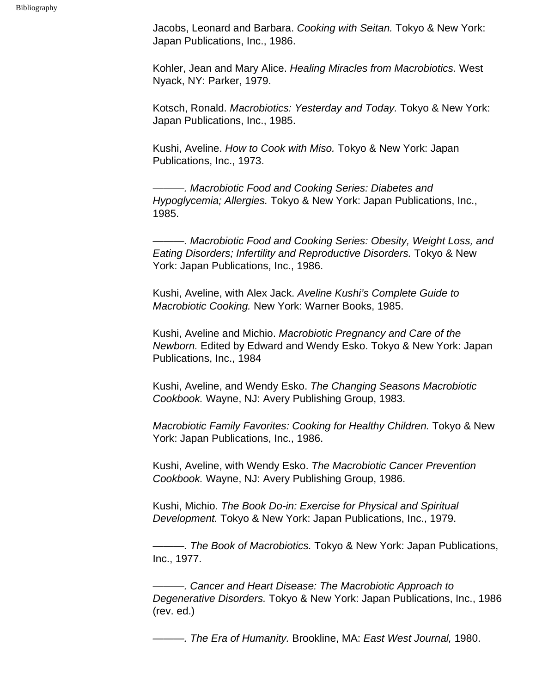Jacobs, Leonard and Barbara. *Cooking with Seitan.* Tokyo & New York: Japan Publications, Inc., 1986.

Kohler, Jean and Mary Alice. *Healing Miracles from Macrobiotics.* West Nyack, NY: Parker, 1979.

Kotsch, Ronald. *Macrobiotics: Yesterday and Today.* Tokyo & New York: Japan Publications, Inc., 1985.

Kushi, Aveline. *How to Cook with Miso.* Tokyo & New York: Japan Publications, Inc., 1973.

*———. Macrobiotic Food and Cooking Series: Diabetes and Hypoglycemia; Allergies.* Tokyo & New York: Japan Publications, Inc., 1985.

*———. Macrobiotic Food and Cooking Series: Obesity, Weight Loss, and Eating Disorders; Infertility and Reproductive Disorders.* Tokyo & New York: Japan Publications, Inc., 1986.

Kushi, Aveline, with Alex Jack. *Aveline Kushi's Complete Guide to Macrobiotic Cooking.* New York: Warner Books, 1985.

Kushi, Aveline and Michio. *Macrobiotic Pregnancy and Care of the Newborn.* Edited by Edward and Wendy Esko. Tokyo & New York: Japan Publications, Inc., 1984

Kushi, Aveline, and Wendy Esko. *The Changing Seasons Macrobiotic Cookbook.* Wayne, NJ: Avery Publishing Group, 1983.

*Macrobiotic Family Favorites: Cooking for Healthy Children.* Tokyo & New York: Japan Publications, Inc., 1986.

Kushi, Aveline, with Wendy Esko. *The Macrobiotic Cancer Prevention Cookbook.* Wayne, NJ: Avery Publishing Group, 1986.

Kushi, Michio. *The Book Do-in: Exercise for Physical and Spiritual Development.* Tokyo & New York: Japan Publications, Inc., 1979.

*———. The Book of Macrobiotics.* Tokyo & New York: Japan Publications, Inc., 1977.

*———. Cancer and Heart Disease: The Macrobiotic Approach to Degenerative Disorders.* Tokyo & New York: Japan Publications, Inc., 1986 (rev. ed.)

*———. The Era of Humanity.* Brookline, MA: *East West Journal,* 1980.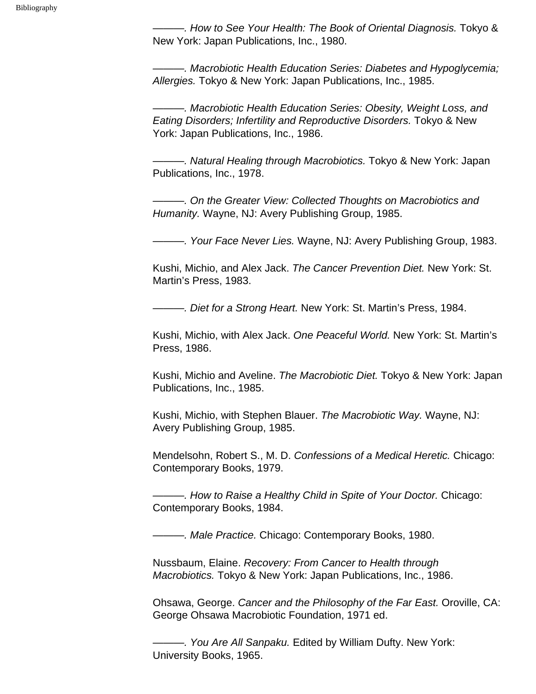*———. How to See Your Health: The Book of Oriental Diagnosis.* Tokyo & New York: Japan Publications, Inc., 1980.

*———. Macrobiotic Health Education Series: Diabetes and Hypoglycemia; Allergies.* Tokyo & New York: Japan Publications, Inc., 1985.

*———. Macrobiotic Health Education Series: Obesity, Weight Loss, and Eating Disorders; Infertility and Reproductive Disorders.* Tokyo & New York: Japan Publications, Inc., 1986.

*———. Natural Healing through Macrobiotics.* Tokyo & New York: Japan Publications, Inc., 1978.

*———. On the Greater View: Collected Thoughts on Macrobiotics and Humanity.* Wayne, NJ: Avery Publishing Group, 1985.

*———. Your Face Never Lies.* Wayne, NJ: Avery Publishing Group, 1983.

Kushi, Michio, and Alex Jack. *The Cancer Prevention Diet.* New York: St. Martin's Press, 1983.

*———. Diet for a Strong Heart.* New York: St. Martin's Press, 1984.

Kushi, Michio, with Alex Jack. *One Peaceful World.* New York: St. Martin's Press, 1986.

Kushi, Michio and Aveline. *The Macrobiotic Diet.* Tokyo & New York: Japan Publications, Inc., 1985.

Kushi, Michio, with Stephen Blauer. *The Macrobiotic Way.* Wayne, NJ: Avery Publishing Group, 1985.

Mendelsohn, Robert S., M. D. *Confessions of a Medical Heretic.* Chicago: Contemporary Books, 1979.

*———. How to Raise a Healthy Child in Spite of Your Doctor.* Chicago: Contemporary Books, 1984.

*———. Male Practice.* Chicago: Contemporary Books, 1980.

Nussbaum, Elaine. *Recovery: From Cancer to Health through Macrobiotics.* Tokyo & New York: Japan Publications, Inc., 1986.

Ohsawa, George. *Cancer and the Philosophy of the Far East.* Oroville, CA: George Ohsawa Macrobiotic Foundation, 1971 ed.

*———. You Are All Sanpaku.* Edited by William Dufty. New York: University Books, 1965.